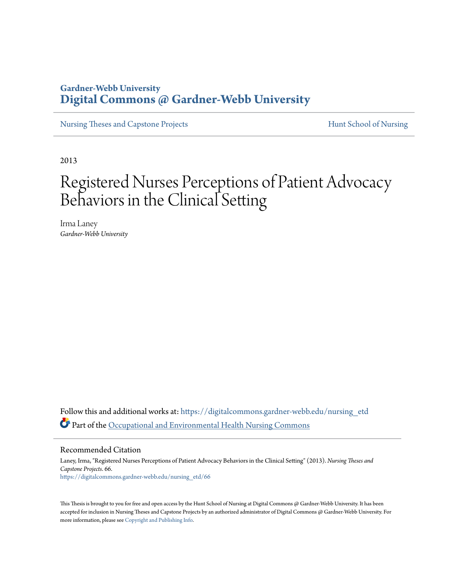# **Gardner-Webb University [Digital Commons @ Gardner-Webb University](https://digitalcommons.gardner-webb.edu?utm_source=digitalcommons.gardner-webb.edu%2Fnursing_etd%2F66&utm_medium=PDF&utm_campaign=PDFCoverPages)**

[Nursing Theses and Capstone Projects](https://digitalcommons.gardner-webb.edu/nursing_etd?utm_source=digitalcommons.gardner-webb.edu%2Fnursing_etd%2F66&utm_medium=PDF&utm_campaign=PDFCoverPages) **[Hunt School of Nursing](https://digitalcommons.gardner-webb.edu/nursing?utm_source=digitalcommons.gardner-webb.edu%2Fnursing_etd%2F66&utm_medium=PDF&utm_campaign=PDFCoverPages)** 

2013

# Registered Nurses Perceptions of Patient Advocacy Behaviors in the Clinical Setting

Irma Laney *Gardner-Webb University*

Follow this and additional works at: [https://digitalcommons.gardner-webb.edu/nursing\\_etd](https://digitalcommons.gardner-webb.edu/nursing_etd?utm_source=digitalcommons.gardner-webb.edu%2Fnursing_etd%2F66&utm_medium=PDF&utm_campaign=PDFCoverPages) Part of the [Occupational and Environmental Health Nursing Commons](http://network.bepress.com/hgg/discipline/728?utm_source=digitalcommons.gardner-webb.edu%2Fnursing_etd%2F66&utm_medium=PDF&utm_campaign=PDFCoverPages)

Recommended Citation

Laney, Irma, "Registered Nurses Perceptions of Patient Advocacy Behaviors in the Clinical Setting" (2013). *Nursing Theses and Capstone Projects*. 66. [https://digitalcommons.gardner-webb.edu/nursing\\_etd/66](https://digitalcommons.gardner-webb.edu/nursing_etd/66?utm_source=digitalcommons.gardner-webb.edu%2Fnursing_etd%2F66&utm_medium=PDF&utm_campaign=PDFCoverPages)

This Thesis is brought to you for free and open access by the Hunt School of Nursing at Digital Commons @ Gardner-Webb University. It has been accepted for inclusion in Nursing Theses and Capstone Projects by an authorized administrator of Digital Commons @ Gardner-Webb University. For more information, please see [Copyright and Publishing Info](https://digitalcommons.gardner-webb.edu/copyright_publishing.html).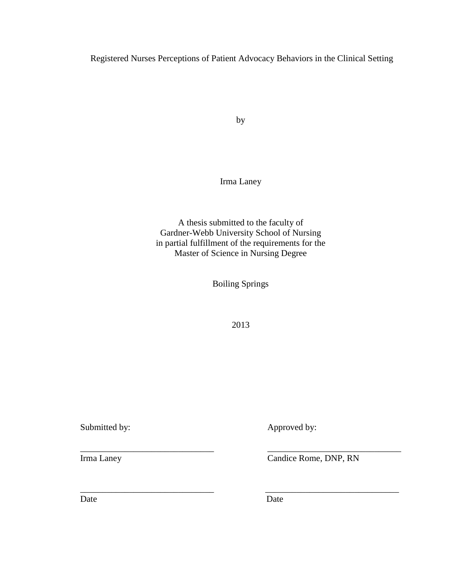Registered Nurses Perceptions of Patient Advocacy Behaviors in the Clinical Setting

by

Irma Laney

A thesis submitted to the faculty of Gardner-Webb University School of Nursing in partial fulfillment of the requirements for the Master of Science in Nursing Degree

Boiling Springs

2013

\_\_\_\_\_\_\_\_\_\_\_\_\_\_\_\_\_\_\_\_\_\_\_\_\_\_\_\_\_\_ \_\_\_\_\_\_\_\_\_\_\_\_\_\_\_\_\_\_\_\_\_\_\_\_\_\_\_\_\_\_

 $\overline{\phantom{a}}$  , and the contract of the contract of the contract of the contract of the contract of the contract of the contract of the contract of the contract of the contract of the contract of the contract of the contrac

Submitted by: Approved by:

Irma Laney Candice Rome, DNP, RN

Date Date Date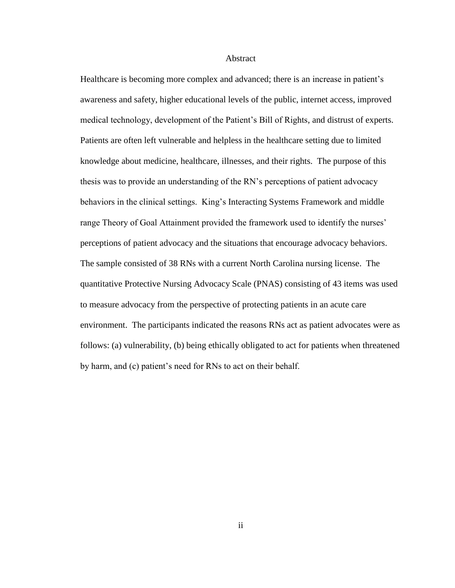#### Abstract

Healthcare is becoming more complex and advanced; there is an increase in patient's awareness and safety, higher educational levels of the public, internet access, improved medical technology, development of the Patient's Bill of Rights, and distrust of experts. Patients are often left vulnerable and helpless in the healthcare setting due to limited knowledge about medicine, healthcare, illnesses, and their rights. The purpose of this thesis was to provide an understanding of the RN's perceptions of patient advocacy behaviors in the clinical settings. King's Interacting Systems Framework and middle range Theory of Goal Attainment provided the framework used to identify the nurses' perceptions of patient advocacy and the situations that encourage advocacy behaviors. The sample consisted of 38 RNs with a current North Carolina nursing license. The quantitative Protective Nursing Advocacy Scale (PNAS) consisting of 43 items was used to measure advocacy from the perspective of protecting patients in an acute care environment. The participants indicated the reasons RNs act as patient advocates were as follows: (a) vulnerability, (b) being ethically obligated to act for patients when threatened by harm, and (c) patient's need for RNs to act on their behalf.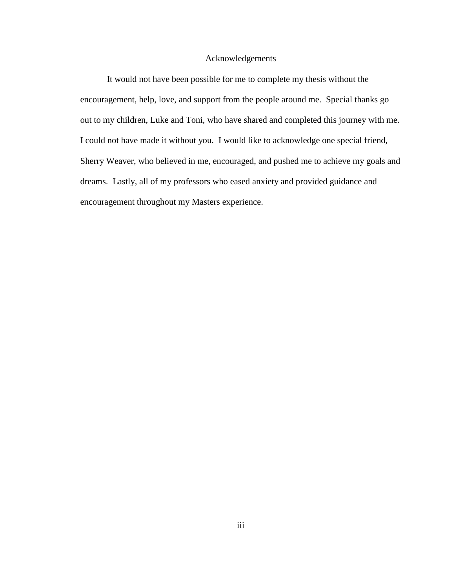### Acknowledgements

It would not have been possible for me to complete my thesis without the encouragement, help, love, and support from the people around me. Special thanks go out to my children, Luke and Toni, who have shared and completed this journey with me. I could not have made it without you. I would like to acknowledge one special friend, Sherry Weaver, who believed in me, encouraged, and pushed me to achieve my goals and dreams. Lastly, all of my professors who eased anxiety and provided guidance and encouragement throughout my Masters experience.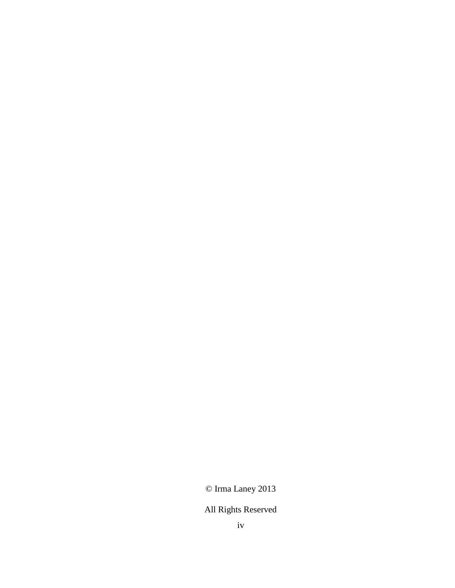© Irma Laney 2013

# All Rights Reserved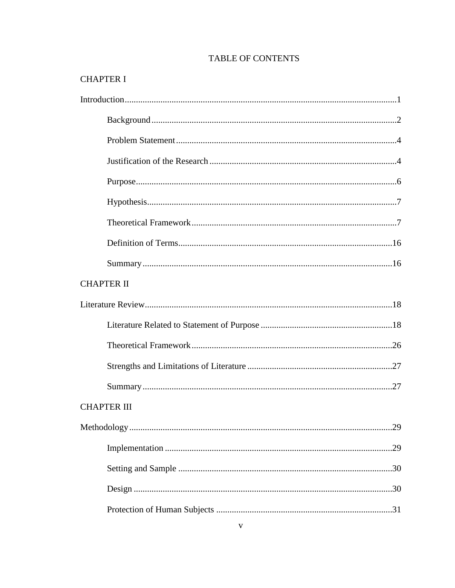## **TABLE OF CONTENTS**

# **CHAPTER I**

| <b>CHAPTER II</b>  |
|--------------------|
|                    |
|                    |
|                    |
|                    |
|                    |
| <b>CHAPTER III</b> |
|                    |
|                    |
|                    |
|                    |
|                    |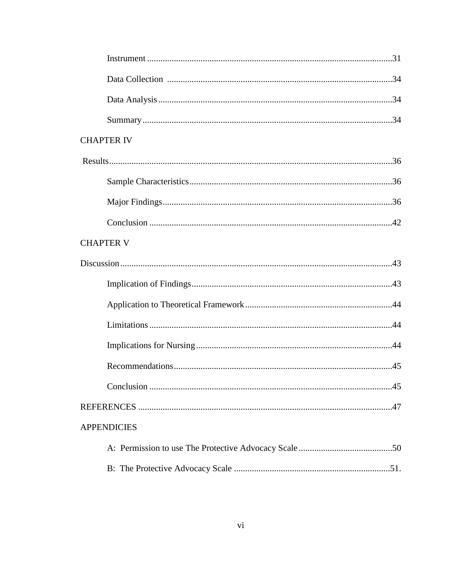| <b>CHAPTER IV</b>  |
|--------------------|
|                    |
|                    |
|                    |
|                    |
| <b>CHAPTER V</b>   |
|                    |
|                    |
|                    |
|                    |
|                    |
|                    |
|                    |
|                    |
| <b>APPENDICIES</b> |
|                    |
|                    |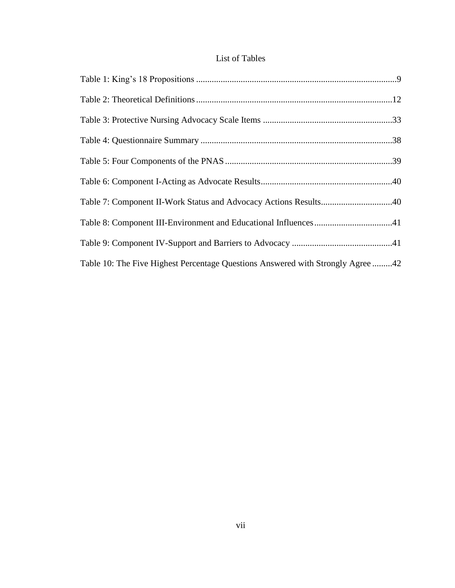### List of Tables

| Table 7: Component II-Work Status and Advocacy Actions Results40                |
|---------------------------------------------------------------------------------|
|                                                                                 |
|                                                                                 |
| Table 10: The Five Highest Percentage Questions Answered with Strongly Agree 42 |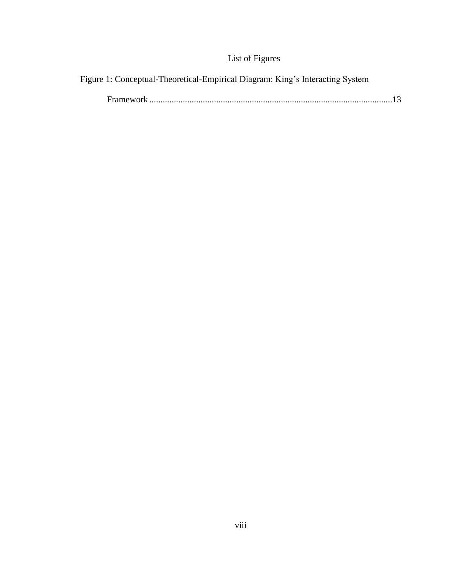# List of Figures

Figure 1: Conceptual-Theoretical-Empirical Diagram: King's Interacting System

|--|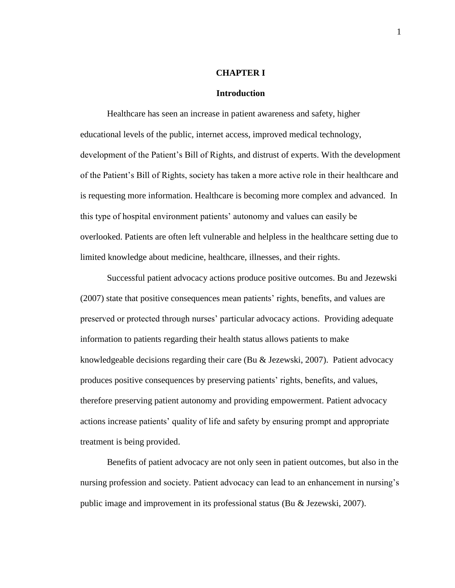#### **CHAPTER I**

### **Introduction**

Healthcare has seen an increase in patient awareness and safety, higher educational levels of the public, internet access, improved medical technology, development of the Patient's Bill of Rights, and distrust of experts. With the development of the Patient's Bill of Rights, society has taken a more active role in their healthcare and is requesting more information. Healthcare is becoming more complex and advanced. In this type of hospital environment patients' autonomy and values can easily be overlooked. Patients are often left vulnerable and helpless in the healthcare setting due to limited knowledge about medicine, healthcare, illnesses, and their rights.

Successful patient advocacy actions produce positive outcomes. Bu and Jezewski (2007) state that positive consequences mean patients' rights, benefits, and values are preserved or protected through nurses' particular advocacy actions. Providing adequate information to patients regarding their health status allows patients to make knowledgeable decisions regarding their care (Bu & Jezewski, 2007). Patient advocacy produces positive consequences by preserving patients' rights, benefits, and values, therefore preserving patient autonomy and providing empowerment. Patient advocacy actions increase patients' quality of life and safety by ensuring prompt and appropriate treatment is being provided.

Benefits of patient advocacy are not only seen in patient outcomes, but also in the nursing profession and society. Patient advocacy can lead to an enhancement in nursing's public image and improvement in its professional status (Bu & Jezewski, 2007).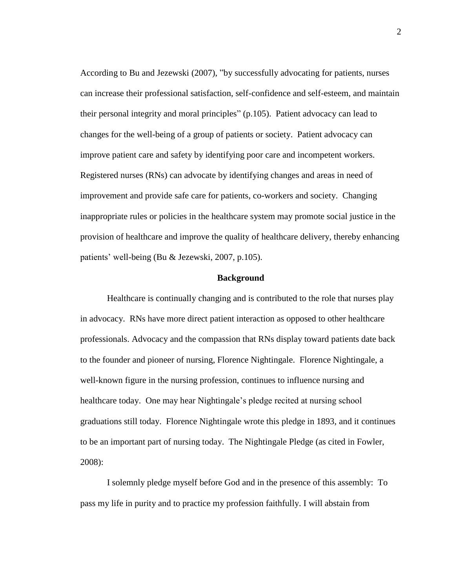According to Bu and Jezewski (2007), "by successfully advocating for patients, nurses can increase their professional satisfaction, self-confidence and self-esteem, and maintain their personal integrity and moral principles" (p.105). Patient advocacy can lead to changes for the well-being of a group of patients or society. Patient advocacy can improve patient care and safety by identifying poor care and incompetent workers. Registered nurses (RNs) can advocate by identifying changes and areas in need of improvement and provide safe care for patients, co-workers and society. Changing inappropriate rules or policies in the healthcare system may promote social justice in the provision of healthcare and improve the quality of healthcare delivery, thereby enhancing patients' well-being (Bu & Jezewski, 2007, p.105).

### **Background**

Healthcare is continually changing and is contributed to the role that nurses play in advocacy. RNs have more direct patient interaction as opposed to other healthcare professionals. Advocacy and the compassion that RNs display toward patients date back to the founder and pioneer of nursing, Florence Nightingale. Florence Nightingale, a well-known figure in the nursing profession, continues to influence nursing and healthcare today. One may hear Nightingale's pledge recited at nursing school graduations still today. Florence Nightingale wrote this pledge in 1893, and it continues to be an important part of nursing today. The Nightingale Pledge (as cited in Fowler, 2008):

I solemnly pledge myself before God and in the presence of this assembly: To pass my life in purity and to practice my profession faithfully. I will abstain from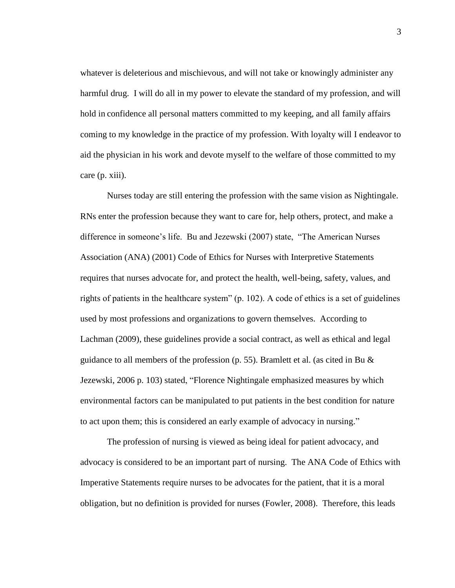whatever is deleterious and mischievous, and will not take or knowingly administer any harmful drug. I will do all in my power to elevate the standard of my profession, and will hold in confidence all personal matters committed to my keeping, and all family affairs coming to my knowledge in the practice of my profession. With loyalty will I endeavor to aid the physician in his work and devote myself to the welfare of those committed to my care (p. xiii).

Nurses today are still entering the profession with the same vision as Nightingale. RNs enter the profession because they want to care for, help others, protect, and make a difference in someone's life. Bu and Jezewski (2007) state, "The American Nurses Association (ANA) (2001) Code of Ethics for Nurses with Interpretive Statements requires that nurses advocate for, and protect the health, well-being, safety, values, and rights of patients in the healthcare system"  $(p. 102)$ . A code of ethics is a set of guidelines used by most professions and organizations to govern themselves. According to Lachman (2009), these guidelines provide a social contract, as well as ethical and legal guidance to all members of the profession (p. 55). Bramlett et al. (as cited in Bu & Jezewski, 2006 p. 103) stated, "Florence Nightingale emphasized measures by which environmental factors can be manipulated to put patients in the best condition for nature to act upon them; this is considered an early example of advocacy in nursing."

The profession of nursing is viewed as being ideal for patient advocacy, and advocacy is considered to be an important part of nursing. The ANA Code of Ethics with Imperative Statements require nurses to be advocates for the patient, that it is a moral obligation, but no definition is provided for nurses (Fowler, 2008). Therefore, this leads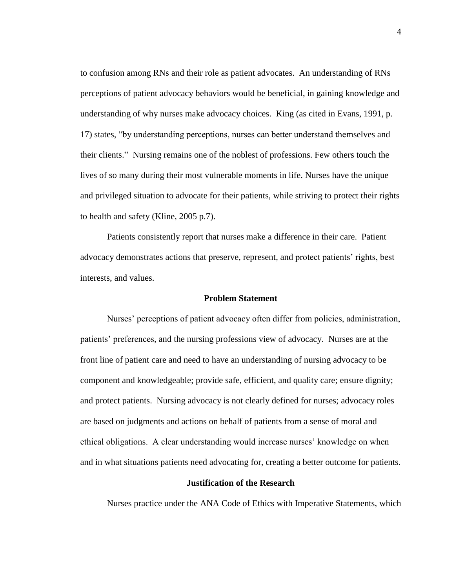to confusion among RNs and their role as patient advocates. An understanding of RNs perceptions of patient advocacy behaviors would be beneficial, in gaining knowledge and understanding of why nurses make advocacy choices. King (as cited in Evans, 1991, p. 17) states, "by understanding perceptions, nurses can better understand themselves and their clients." Nursing remains one of the noblest of professions. Few others touch the lives of so many during their most vulnerable moments in life. Nurses have the unique and privileged situation to advocate for their patients, while striving to protect their rights to health and safety (Kline, 2005 p.7).

Patients consistently report that nurses make a difference in their care. Patient advocacy demonstrates actions that preserve, represent, and protect patients' rights, best interests, and values.

### **Problem Statement**

Nurses' perceptions of patient advocacy often differ from policies, administration, patients' preferences, and the nursing professions view of advocacy. Nurses are at the front line of patient care and need to have an understanding of nursing advocacy to be component and knowledgeable; provide safe, efficient, and quality care; ensure dignity; and protect patients. Nursing advocacy is not clearly defined for nurses; advocacy roles are based on judgments and actions on behalf of patients from a sense of moral and ethical obligations. A clear understanding would increase nurses' knowledge on when and in what situations patients need advocating for, creating a better outcome for patients.

### **Justification of the Research**

Nurses practice under the ANA Code of Ethics with Imperative Statements, which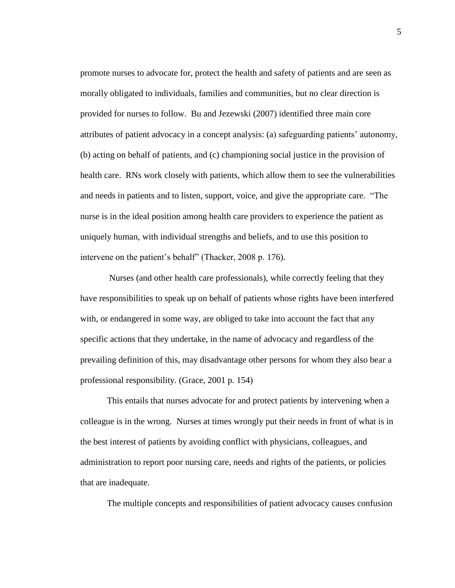promote nurses to advocate for, protect the health and safety of patients and are seen as morally obligated to individuals, families and communities, but no clear direction is provided for nurses to follow. Bu and Jezewski (2007) identified three main core attributes of patient advocacy in a concept analysis: (a) safeguarding patients' autonomy, (b) acting on behalf of patients, and (c) championing social justice in the provision of health care. RNs work closely with patients, which allow them to see the vulnerabilities and needs in patients and to listen, support, voice, and give the appropriate care. "The nurse is in the ideal position among health care providers to experience the patient as uniquely human, with individual strengths and beliefs, and to use this position to intervene on the patient's behalf" (Thacker, 2008 p. 176).

Nurses (and other health care professionals), while correctly feeling that they have responsibilities to speak up on behalf of patients whose rights have been interfered with, or endangered in some way, are obliged to take into account the fact that any specific actions that they undertake, in the name of advocacy and regardless of the prevailing definition of this, may disadvantage other persons for whom they also bear a professional responsibility. (Grace, 2001 p. 154)

This entails that nurses advocate for and protect patients by intervening when a colleague is in the wrong. Nurses at times wrongly put their needs in front of what is in the best interest of patients by avoiding conflict with physicians, colleagues, and administration to report poor nursing care, needs and rights of the patients, or policies that are inadequate.

The multiple concepts and responsibilities of patient advocacy causes confusion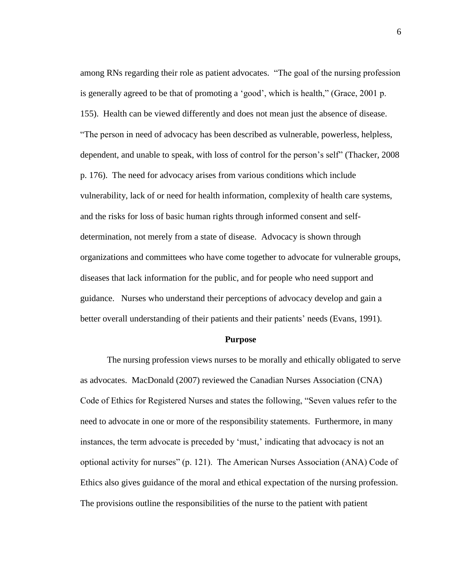among RNs regarding their role as patient advocates. "The goal of the nursing profession is generally agreed to be that of promoting a 'good', which is health," (Grace, 2001 p. 155). Health can be viewed differently and does not mean just the absence of disease. "The person in need of advocacy has been described as vulnerable, powerless, helpless, dependent, and unable to speak, with loss of control for the person's self" (Thacker, 2008 p. 176). The need for advocacy arises from various conditions which include vulnerability, lack of or need for health information, complexity of health care systems, and the risks for loss of basic human rights through informed consent and selfdetermination, not merely from a state of disease. Advocacy is shown through organizations and committees who have come together to advocate for vulnerable groups, diseases that lack information for the public, and for people who need support and guidance. Nurses who understand their perceptions of advocacy develop and gain a better overall understanding of their patients and their patients' needs (Evans, 1991).

### **Purpose**

The nursing profession views nurses to be morally and ethically obligated to serve as advocates. MacDonald (2007) reviewed the Canadian Nurses Association (CNA) Code of Ethics for Registered Nurses and states the following, "Seven values refer to the need to advocate in one or more of the responsibility statements. Furthermore, in many instances, the term advocate is preceded by 'must,' indicating that advocacy is not an optional activity for nurses" (p. 121). The American Nurses Association (ANA) Code of Ethics also gives guidance of the moral and ethical expectation of the nursing profession. The provisions outline the responsibilities of the nurse to the patient with patient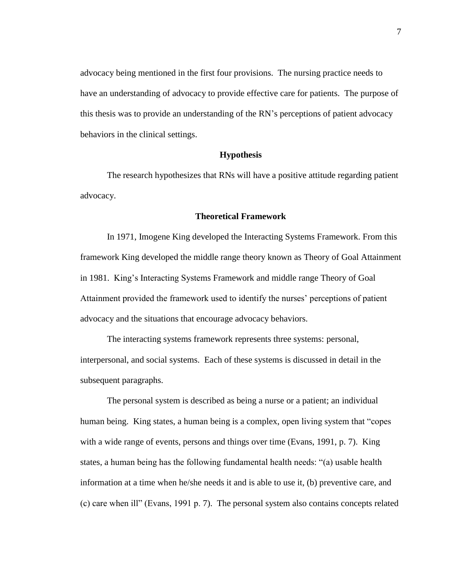advocacy being mentioned in the first four provisions. The nursing practice needs to have an understanding of advocacy to provide effective care for patients. The purpose of this thesis was to provide an understanding of the RN's perceptions of patient advocacy behaviors in the clinical settings.

### **Hypothesis**

The research hypothesizes that RNs will have a positive attitude regarding patient advocacy.

### **Theoretical Framework**

In 1971, Imogene King developed the Interacting Systems Framework. From this framework King developed the middle range theory known as Theory of Goal Attainment in 1981. King's Interacting Systems Framework and middle range Theory of Goal Attainment provided the framework used to identify the nurses' perceptions of patient advocacy and the situations that encourage advocacy behaviors.

The interacting systems framework represents three systems: personal, interpersonal, and social systems. Each of these systems is discussed in detail in the subsequent paragraphs.

The personal system is described as being a nurse or a patient; an individual human being. King states, a human being is a complex, open living system that "copes with a wide range of events, persons and things over time (Evans, 1991, p. 7). King states, a human being has the following fundamental health needs: "(a) usable health information at a time when he/she needs it and is able to use it, (b) preventive care, and (c) care when ill" (Evans, 1991 p. 7). The personal system also contains concepts related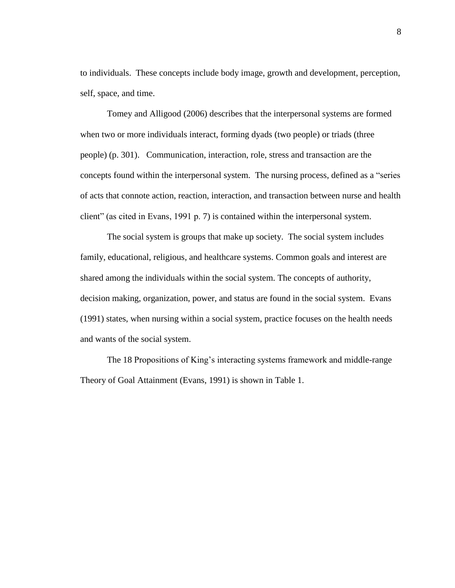to individuals. These concepts include body image, growth and development, perception, self, space, and time.

Tomey and Alligood (2006) describes that the interpersonal systems are formed when two or more individuals interact, forming dyads (two people) or triads (three people) (p. 301). Communication, interaction, role, stress and transaction are the concepts found within the interpersonal system. The nursing process, defined as a "series of acts that connote action, reaction, interaction, and transaction between nurse and health client" (as cited in Evans, 1991 p. 7) is contained within the interpersonal system.

The social system is groups that make up society. The social system includes family, educational, religious, and healthcare systems. Common goals and interest are shared among the individuals within the social system. The concepts of authority, decision making, organization, power, and status are found in the social system. Evans (1991) states, when nursing within a social system, practice focuses on the health needs and wants of the social system.

The 18 Propositions of King's interacting systems framework and middle-range Theory of Goal Attainment (Evans, 1991) is shown in Table 1.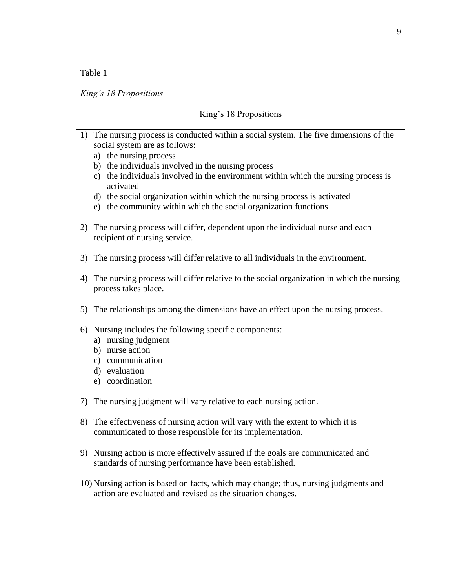### *King's 18 Propositions*

|    | King's 18 Propositions                                                                                                                                                                                                                                                                                                                                                                                                                                     |  |  |  |  |
|----|------------------------------------------------------------------------------------------------------------------------------------------------------------------------------------------------------------------------------------------------------------------------------------------------------------------------------------------------------------------------------------------------------------------------------------------------------------|--|--|--|--|
|    | 1) The nursing process is conducted within a social system. The five dimensions of the<br>social system are as follows:<br>a) the nursing process<br>b) the individuals involved in the nursing process<br>c) the individuals involved in the environment within which the nursing process is<br>activated<br>d) the social organization within which the nursing process is activated<br>e) the community within which the social organization functions. |  |  |  |  |
|    | 2) The nursing process will differ, dependent upon the individual nurse and each<br>recipient of nursing service.                                                                                                                                                                                                                                                                                                                                          |  |  |  |  |
|    | 3) The nursing process will differ relative to all individuals in the environment.                                                                                                                                                                                                                                                                                                                                                                         |  |  |  |  |
| 4) | The nursing process will differ relative to the social organization in which the nursing<br>process takes place.                                                                                                                                                                                                                                                                                                                                           |  |  |  |  |
|    | 5) The relationships among the dimensions have an effect upon the nursing process.                                                                                                                                                                                                                                                                                                                                                                         |  |  |  |  |
|    | 6) Nursing includes the following specific components:<br>a) nursing judgment<br>b) nurse action<br>c) communication<br>d) evaluation<br>e) coordination                                                                                                                                                                                                                                                                                                   |  |  |  |  |
|    | 7) The nursing judgment will vary relative to each nursing action.                                                                                                                                                                                                                                                                                                                                                                                         |  |  |  |  |
| 8) | The effectiveness of nursing action will vary with the extent to which it is<br>communicated to those responsible for its implementation.                                                                                                                                                                                                                                                                                                                  |  |  |  |  |
|    | 9) Nursing action is more effectively assured if the goals are communicated and<br>standards of nursing performance have been established.                                                                                                                                                                                                                                                                                                                 |  |  |  |  |

10) Nursing action is based on facts, which may change; thus, nursing judgments and action are evaluated and revised as the situation changes.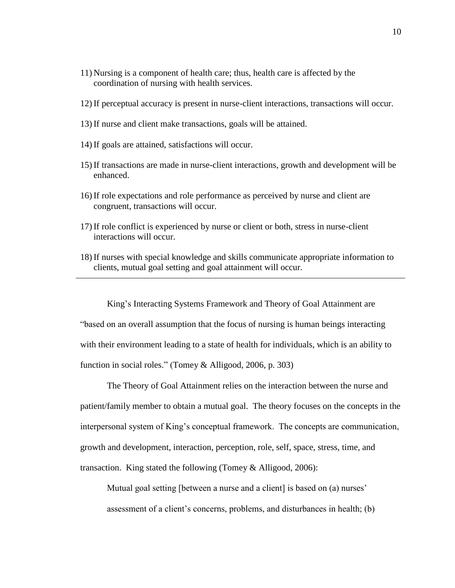- 11) Nursing is a component of health care; thus, health care is affected by the coordination of nursing with health services.
- 12) If perceptual accuracy is present in nurse-client interactions, transactions will occur.
- 13) If nurse and client make transactions, goals will be attained.
- 14) If goals are attained, satisfactions will occur.
- 15) If transactions are made in nurse-client interactions, growth and development will be enhanced.
- 16) If role expectations and role performance as perceived by nurse and client are congruent, transactions will occur.
- 17) If role conflict is experienced by nurse or client or both, stress in nurse-client interactions will occur.
- 18) If nurses with special knowledge and skills communicate appropriate information to clients, mutual goal setting and goal attainment will occur.

King's Interacting Systems Framework and Theory of Goal Attainment are "based on an overall assumption that the focus of nursing is human beings interacting with their environment leading to a state of health for individuals, which is an ability to function in social roles." (Tomey & Alligood, 2006, p. 303)

The Theory of Goal Attainment relies on the interaction between the nurse and patient/family member to obtain a mutual goal. The theory focuses on the concepts in the interpersonal system of King's conceptual framework. The concepts are communication, growth and development, interaction, perception, role, self, space, stress, time, and transaction. King stated the following (Tomey & Alligood, 2006):

Mutual goal setting [between a nurse and a client] is based on (a) nurses' assessment of a client's concerns, problems, and disturbances in health; (b)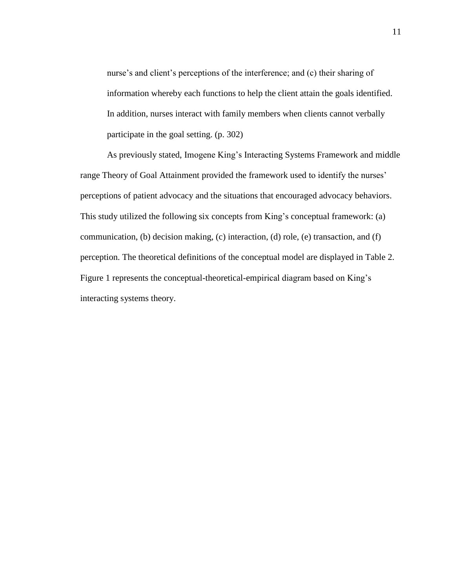nurse's and client's perceptions of the interference; and (c) their sharing of information whereby each functions to help the client attain the goals identified. In addition, nurses interact with family members when clients cannot verbally participate in the goal setting. (p. 302)

As previously stated, Imogene King's Interacting Systems Framework and middle range Theory of Goal Attainment provided the framework used to identify the nurses' perceptions of patient advocacy and the situations that encouraged advocacy behaviors. This study utilized the following six concepts from King's conceptual framework: (a) communication, (b) decision making, (c) interaction, (d) role, (e) transaction, and (f) perception. The theoretical definitions of the conceptual model are displayed in Table 2. Figure 1 represents the conceptual-theoretical-empirical diagram based on King's interacting systems theory.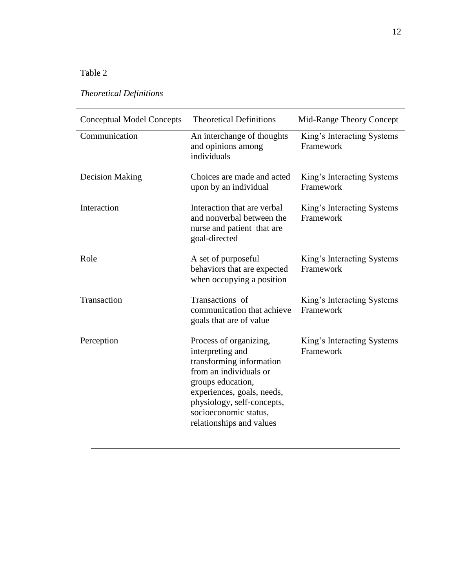# *Theoretical Definitions*

| <b>Conceptual Model Concepts</b> | <b>Theoretical Definitions</b>                                                                                                                                                                                                         | Mid-Range Theory Concept                |  |
|----------------------------------|----------------------------------------------------------------------------------------------------------------------------------------------------------------------------------------------------------------------------------------|-----------------------------------------|--|
| Communication                    | An interchange of thoughts<br>and opinions among<br>individuals                                                                                                                                                                        | King's Interacting Systems<br>Framework |  |
| <b>Decision Making</b>           | Choices are made and acted<br>upon by an individual                                                                                                                                                                                    | King's Interacting Systems<br>Framework |  |
| Interaction                      | Interaction that are verbal<br>and nonverbal between the<br>nurse and patient that are<br>goal-directed                                                                                                                                | King's Interacting Systems<br>Framework |  |
| Role                             | A set of purposeful<br>behaviors that are expected<br>when occupying a position                                                                                                                                                        | King's Interacting Systems<br>Framework |  |
| Transaction                      | Transactions of<br>communication that achieve<br>goals that are of value                                                                                                                                                               | King's Interacting Systems<br>Framework |  |
| Perception                       | Process of organizing,<br>interpreting and<br>transforming information<br>from an individuals or<br>groups education,<br>experiences, goals, needs,<br>physiology, self-concepts,<br>socioeconomic status,<br>relationships and values | King's Interacting Systems<br>Framework |  |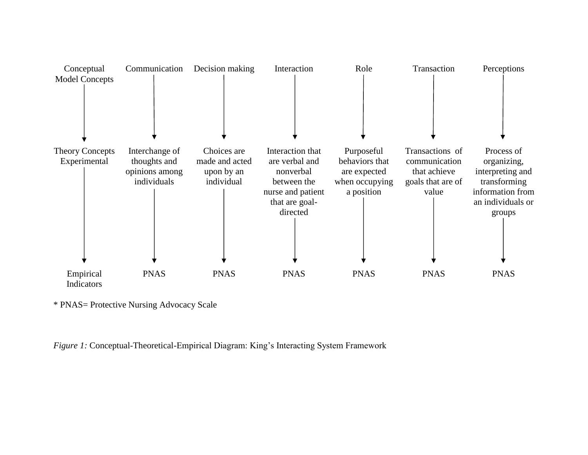

\* PNAS= Protective Nursing Advocacy Scale

*Figure 1:* Conceptual-Theoretical-Empirical Diagram: King's Interacting System Framework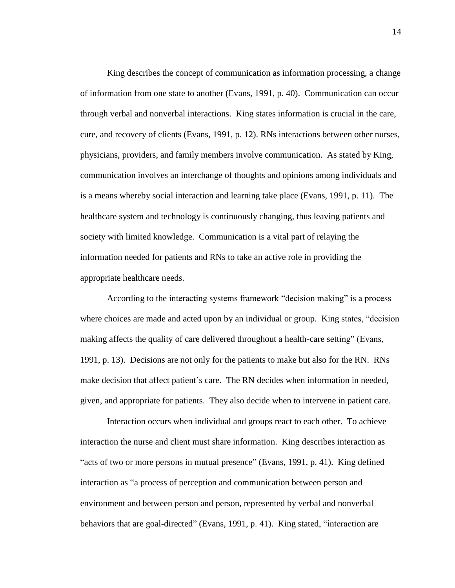King describes the concept of communication as information processing, a change of information from one state to another (Evans, 1991, p. 40). Communication can occur through verbal and nonverbal interactions. King states information is crucial in the care, cure, and recovery of clients (Evans, 1991, p. 12). RNs interactions between other nurses, physicians, providers, and family members involve communication. As stated by King, communication involves an interchange of thoughts and opinions among individuals and is a means whereby social interaction and learning take place (Evans, 1991, p. 11). The healthcare system and technology is continuously changing, thus leaving patients and society with limited knowledge. Communication is a vital part of relaying the information needed for patients and RNs to take an active role in providing the appropriate healthcare needs.

According to the interacting systems framework "decision making" is a process where choices are made and acted upon by an individual or group. King states, "decision" making affects the quality of care delivered throughout a health-care setting" (Evans, 1991, p. 13). Decisions are not only for the patients to make but also for the RN. RNs make decision that affect patient's care. The RN decides when information in needed, given, and appropriate for patients. They also decide when to intervene in patient care.

Interaction occurs when individual and groups react to each other. To achieve interaction the nurse and client must share information. King describes interaction as "acts of two or more persons in mutual presence" (Evans, 1991, p. 41). King defined interaction as "a process of perception and communication between person and environment and between person and person, represented by verbal and nonverbal behaviors that are goal-directed" (Evans, 1991, p. 41). King stated, "interaction are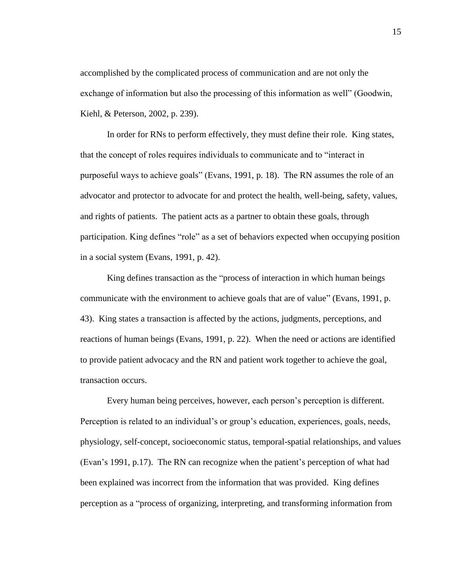accomplished by the complicated process of communication and are not only the exchange of information but also the processing of this information as well" (Goodwin, Kiehl, & Peterson, 2002, p. 239).

In order for RNs to perform effectively, they must define their role. King states, that the concept of roles requires individuals to communicate and to "interact in purposeful ways to achieve goals" (Evans, 1991, p. 18). The RN assumes the role of an advocator and protector to advocate for and protect the health, well-being, safety, values, and rights of patients. The patient acts as a partner to obtain these goals, through participation. King defines "role" as a set of behaviors expected when occupying position in a social system (Evans, 1991, p. 42).

King defines transaction as the "process of interaction in which human beings communicate with the environment to achieve goals that are of value" (Evans, 1991, p. 43). King states a transaction is affected by the actions, judgments, perceptions, and reactions of human beings (Evans, 1991, p. 22). When the need or actions are identified to provide patient advocacy and the RN and patient work together to achieve the goal, transaction occurs.

Every human being perceives, however, each person's perception is different. Perception is related to an individual's or group's education, experiences, goals, needs, physiology, self-concept, socioeconomic status, temporal-spatial relationships, and values (Evan's 1991, p.17). The RN can recognize when the patient's perception of what had been explained was incorrect from the information that was provided. King defines perception as a "process of organizing, interpreting, and transforming information from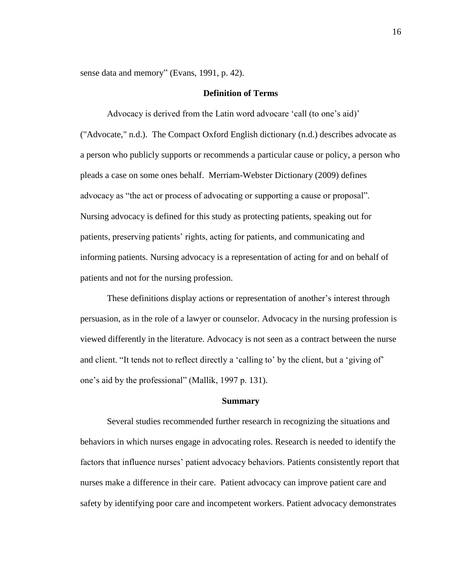sense data and memory" (Evans, 1991, p. 42).

### **Definition of Terms**

Advocacy is derived from the Latin word advocare 'call (to one's aid)' ("Advocate," n.d.). The Compact Oxford English dictionary (n.d.) describes advocate as a person who publicly supports or recommends a particular cause or policy, a person who pleads a case on some ones behalf. Merriam-Webster Dictionary (2009) defines advocacy as "the act or process of advocating or supporting a cause or proposal". Nursing advocacy is defined for this study as protecting patients, speaking out for patients, preserving patients' rights, acting for patients, and communicating and informing patients. Nursing advocacy is a representation of acting for and on behalf of patients and not for the nursing profession.

These definitions display actions or representation of another's interest through persuasion, as in the role of a lawyer or counselor. Advocacy in the nursing profession is viewed differently in the literature. Advocacy is not seen as a contract between the nurse and client. "It tends not to reflect directly a 'calling to' by the client, but a 'giving of' one's aid by the professional" (Mallik, 1997 p. 131).

### **Summary**

Several studies recommended further research in recognizing the situations and behaviors in which nurses engage in advocating roles. Research is needed to identify the factors that influence nurses' patient advocacy behaviors. Patients consistently report that nurses make a difference in their care. Patient advocacy can improve patient care and safety by identifying poor care and incompetent workers. Patient advocacy demonstrates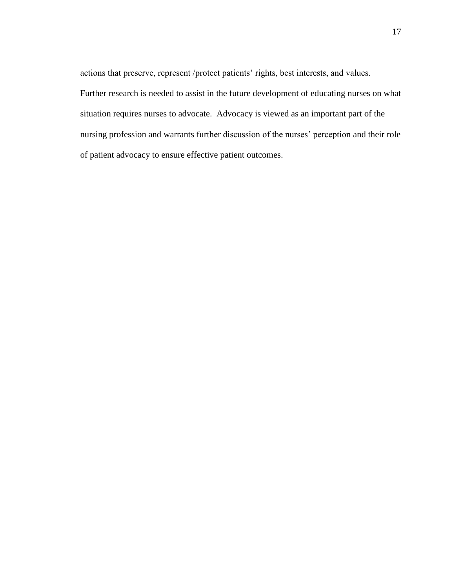actions that preserve, represent /protect patients' rights, best interests, and values. Further research is needed to assist in the future development of educating nurses on what situation requires nurses to advocate. Advocacy is viewed as an important part of the nursing profession and warrants further discussion of the nurses' perception and their role of patient advocacy to ensure effective patient outcomes.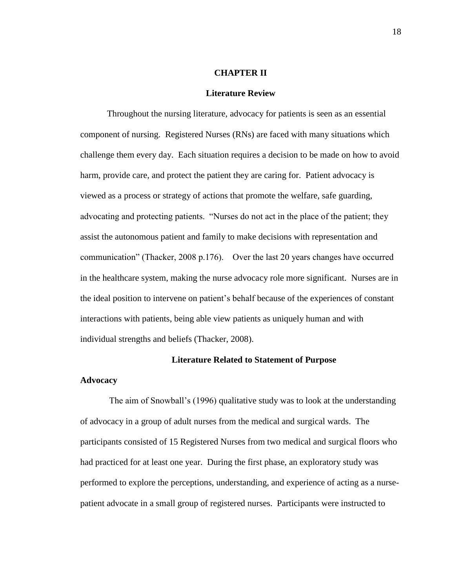### **CHAPTER II**

#### **Literature Review**

Throughout the nursing literature, advocacy for patients is seen as an essential component of nursing. Registered Nurses (RNs) are faced with many situations which challenge them every day. Each situation requires a decision to be made on how to avoid harm, provide care, and protect the patient they are caring for. Patient advocacy is viewed as a process or strategy of actions that promote the welfare, safe guarding, advocating and protecting patients. "Nurses do not act in the place of the patient; they assist the autonomous patient and family to make decisions with representation and communication" (Thacker, 2008 p.176). Over the last 20 years changes have occurred in the healthcare system, making the nurse advocacy role more significant. Nurses are in the ideal position to intervene on patient's behalf because of the experiences of constant interactions with patients, being able view patients as uniquely human and with individual strengths and beliefs (Thacker, 2008).

### **Literature Related to Statement of Purpose**

### **Advocacy**

The aim of Snowball's (1996) qualitative study was to look at the understanding of advocacy in a group of adult nurses from the medical and surgical wards. The participants consisted of 15 Registered Nurses from two medical and surgical floors who had practiced for at least one year. During the first phase, an exploratory study was performed to explore the perceptions, understanding, and experience of acting as a nursepatient advocate in a small group of registered nurses. Participants were instructed to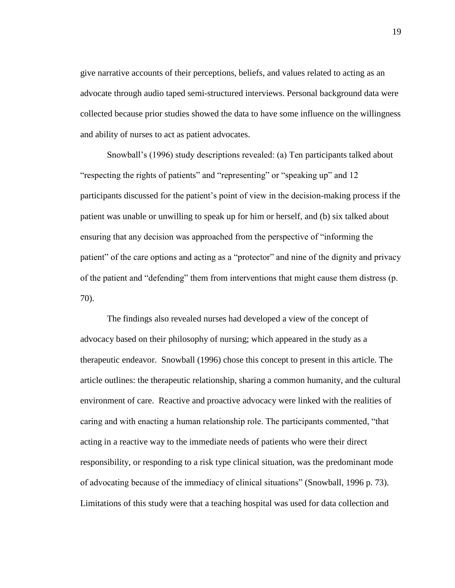give narrative accounts of their perceptions, beliefs, and values related to acting as an advocate through audio taped semi-structured interviews. Personal background data were collected because prior studies showed the data to have some influence on the willingness and ability of nurses to act as patient advocates.

Snowball's (1996) study descriptions revealed: (a) Ten participants talked about "respecting the rights of patients" and "representing" or "speaking up" and 12 participants discussed for the patient's point of view in the decision-making process if the patient was unable or unwilling to speak up for him or herself, and (b) six talked about ensuring that any decision was approached from the perspective of "informing the patient" of the care options and acting as a "protector" and nine of the dignity and privacy of the patient and "defending" them from interventions that might cause them distress (p. 70).

The findings also revealed nurses had developed a view of the concept of advocacy based on their philosophy of nursing; which appeared in the study as a therapeutic endeavor. Snowball (1996) chose this concept to present in this article. The article outlines: the therapeutic relationship, sharing a common humanity, and the cultural environment of care. Reactive and proactive advocacy were linked with the realities of caring and with enacting a human relationship role. The participants commented, "that acting in a reactive way to the immediate needs of patients who were their direct responsibility, or responding to a risk type clinical situation, was the predominant mode of advocating because of the immediacy of clinical situations" (Snowball, 1996 p. 73). Limitations of this study were that a teaching hospital was used for data collection and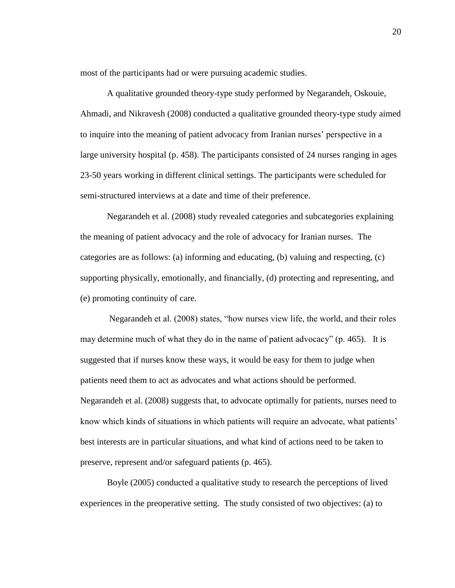most of the participants had or were pursuing academic studies.

A qualitative grounded theory-type study performed by Negarandeh, Oskouie, Ahmadi, and Nikravesh (2008) conducted a qualitative grounded theory-type study aimed to inquire into the meaning of patient advocacy from Iranian nurses' perspective in a large university hospital (p. 458). The participants consisted of 24 nurses ranging in ages 23-50 years working in different clinical settings. The participants were scheduled for semi-structured interviews at a date and time of their preference.

Negarandeh et al. (2008) study revealed categories and subcategories explaining the meaning of patient advocacy and the role of advocacy for Iranian nurses. The categories are as follows: (a) informing and educating, (b) valuing and respecting, (c) supporting physically, emotionally, and financially, (d) protecting and representing, and (e) promoting continuity of care.

Negarandeh et al. (2008) states, "how nurses view life, the world, and their roles may determine much of what they do in the name of patient advocacy" (p. 465). It is suggested that if nurses know these ways, it would be easy for them to judge when patients need them to act as advocates and what actions should be performed. Negarandeh et al. (2008) suggests that, to advocate optimally for patients, nurses need to know which kinds of situations in which patients will require an advocate, what patients' best interests are in particular situations, and what kind of actions need to be taken to preserve, represent and/or safeguard patients (p. 465).

Boyle (2005) conducted a qualitative study to research the perceptions of lived experiences in the preoperative setting. The study consisted of two objectives: (a) to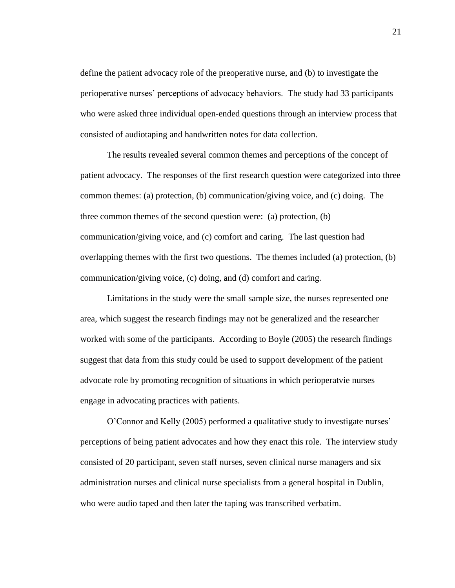define the patient advocacy role of the preoperative nurse, and (b) to investigate the perioperative nurses' perceptions of advocacy behaviors. The study had 33 participants who were asked three individual open-ended questions through an interview process that consisted of audiotaping and handwritten notes for data collection.

The results revealed several common themes and perceptions of the concept of patient advocacy. The responses of the first research question were categorized into three common themes: (a) protection, (b) communication/giving voice, and (c) doing. The three common themes of the second question were: (a) protection, (b) communication/giving voice, and (c) comfort and caring. The last question had overlapping themes with the first two questions. The themes included (a) protection, (b) communication/giving voice, (c) doing, and (d) comfort and caring.

Limitations in the study were the small sample size, the nurses represented one area, which suggest the research findings may not be generalized and the researcher worked with some of the participants. According to Boyle (2005) the research findings suggest that data from this study could be used to support development of the patient advocate role by promoting recognition of situations in which perioperatvie nurses engage in advocating practices with patients.

O'Connor and Kelly (2005) performed a qualitative study to investigate nurses' perceptions of being patient advocates and how they enact this role. The interview study consisted of 20 participant, seven staff nurses, seven clinical nurse managers and six administration nurses and clinical nurse specialists from a general hospital in Dublin, who were audio taped and then later the taping was transcribed verbatim.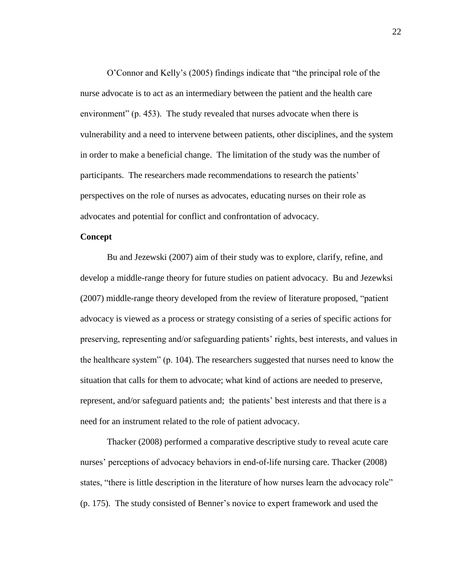O'Connor and Kelly's (2005) findings indicate that "the principal role of the nurse advocate is to act as an intermediary between the patient and the health care environment" (p. 453). The study revealed that nurses advocate when there is vulnerability and a need to intervene between patients, other disciplines, and the system in order to make a beneficial change. The limitation of the study was the number of participants. The researchers made recommendations to research the patients' perspectives on the role of nurses as advocates, educating nurses on their role as advocates and potential for conflict and confrontation of advocacy.

### **Concept**

Bu and Jezewski (2007) aim of their study was to explore, clarify, refine, and develop a middle-range theory for future studies on patient advocacy. Bu and Jezewksi (2007) middle-range theory developed from the review of literature proposed, "patient advocacy is viewed as a process or strategy consisting of a series of specific actions for preserving, representing and/or safeguarding patients' rights, best interests, and values in the healthcare system" (p. 104). The researchers suggested that nurses need to know the situation that calls for them to advocate; what kind of actions are needed to preserve, represent, and/or safeguard patients and; the patients' best interests and that there is a need for an instrument related to the role of patient advocacy.

Thacker (2008) performed a comparative descriptive study to reveal acute care nurses' perceptions of advocacy behaviors in end-of-life nursing care. Thacker (2008) states, "there is little description in the literature of how nurses learn the advocacy role" (p. 175). The study consisted of Benner's novice to expert framework and used the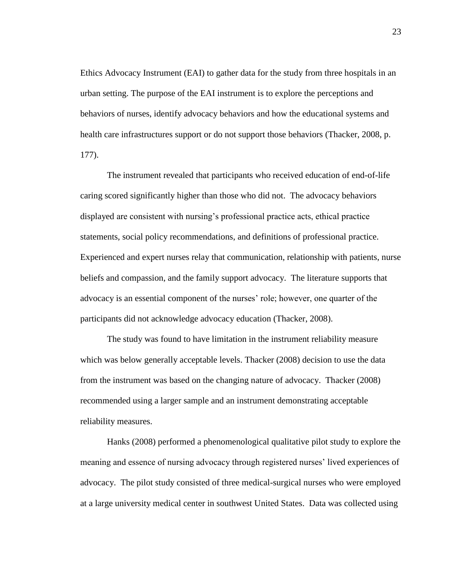Ethics Advocacy Instrument (EAI) to gather data for the study from three hospitals in an urban setting. The purpose of the EAI instrument is to explore the perceptions and behaviors of nurses, identify advocacy behaviors and how the educational systems and health care infrastructures support or do not support those behaviors (Thacker, 2008, p. 177).

The instrument revealed that participants who received education of end-of-life caring scored significantly higher than those who did not. The advocacy behaviors displayed are consistent with nursing's professional practice acts, ethical practice statements, social policy recommendations, and definitions of professional practice. Experienced and expert nurses relay that communication, relationship with patients, nurse beliefs and compassion, and the family support advocacy. The literature supports that advocacy is an essential component of the nurses' role; however, one quarter of the participants did not acknowledge advocacy education (Thacker, 2008).

The study was found to have limitation in the instrument reliability measure which was below generally acceptable levels. Thacker (2008) decision to use the data from the instrument was based on the changing nature of advocacy. Thacker (2008) recommended using a larger sample and an instrument demonstrating acceptable reliability measures.

Hanks (2008) performed a phenomenological qualitative pilot study to explore the meaning and essence of nursing advocacy through registered nurses' lived experiences of advocacy. The pilot study consisted of three medical-surgical nurses who were employed at a large university medical center in southwest United States. Data was collected using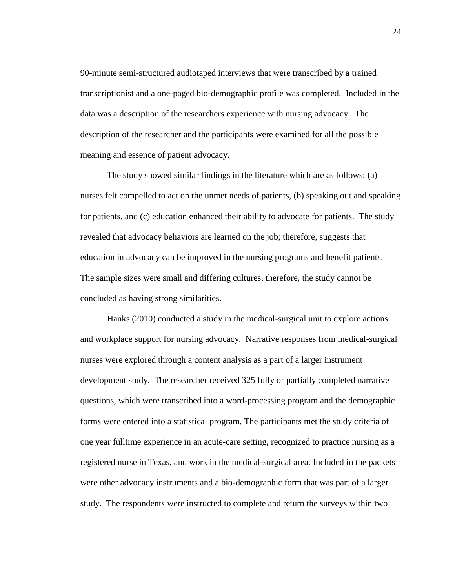90-minute semi-structured audiotaped interviews that were transcribed by a trained transcriptionist and a one-paged bio-demographic profile was completed. Included in the data was a description of the researchers experience with nursing advocacy. The description of the researcher and the participants were examined for all the possible meaning and essence of patient advocacy.

The study showed similar findings in the literature which are as follows: (a) nurses felt compelled to act on the unmet needs of patients, (b) speaking out and speaking for patients, and (c) education enhanced their ability to advocate for patients. The study revealed that advocacy behaviors are learned on the job; therefore, suggests that education in advocacy can be improved in the nursing programs and benefit patients. The sample sizes were small and differing cultures, therefore, the study cannot be concluded as having strong similarities.

Hanks (2010) conducted a study in the medical-surgical unit to explore actions and workplace support for nursing advocacy. Narrative responses from medical-surgical nurses were explored through a content analysis as a part of a larger instrument development study. The researcher received 325 fully or partially completed narrative questions, which were transcribed into a word-processing program and the demographic forms were entered into a statistical program. The participants met the study criteria of one year fulltime experience in an acute-care setting, recognized to practice nursing as a registered nurse in Texas, and work in the medical-surgical area. Included in the packets were other advocacy instruments and a bio-demographic form that was part of a larger study. The respondents were instructed to complete and return the surveys within two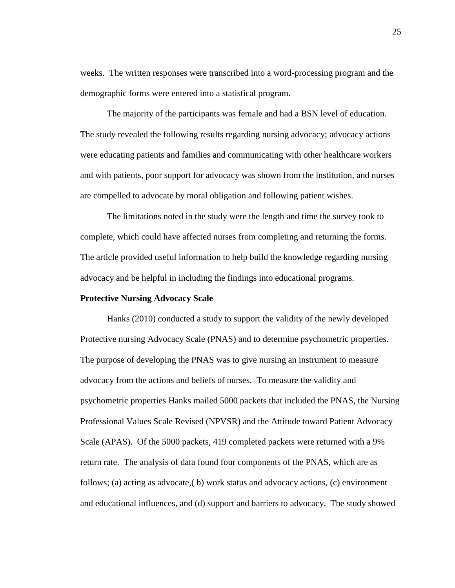weeks. The written responses were transcribed into a word-processing program and the demographic forms were entered into a statistical program.

The majority of the participants was female and had a BSN level of education. The study revealed the following results regarding nursing advocacy; advocacy actions were educating patients and families and communicating with other healthcare workers and with patients, poor support for advocacy was shown from the institution, and nurses are compelled to advocate by moral obligation and following patient wishes.

The limitations noted in the study were the length and time the survey took to complete, which could have affected nurses from completing and returning the forms. The article provided useful information to help build the knowledge regarding nursing advocacy and be helpful in including the findings into educational programs.

### **Protective Nursing Advocacy Scale**

Hanks (2010) conducted a study to support the validity of the newly developed Protective nursing Advocacy Scale (PNAS) and to determine psychometric properties. The purpose of developing the PNAS was to give nursing an instrument to measure advocacy from the actions and beliefs of nurses. To measure the validity and psychometric properties Hanks mailed 5000 packets that included the PNAS, the Nursing Professional Values Scale Revised (NPVSR) and the Attitude toward Patient Advocacy Scale (APAS). Of the 5000 packets, 419 completed packets were returned with a 9% return rate. The analysis of data found four components of the PNAS, which are as follows; (a) acting as advocate,( b) work status and advocacy actions, (c) environment and educational influences, and (d) support and barriers to advocacy. The study showed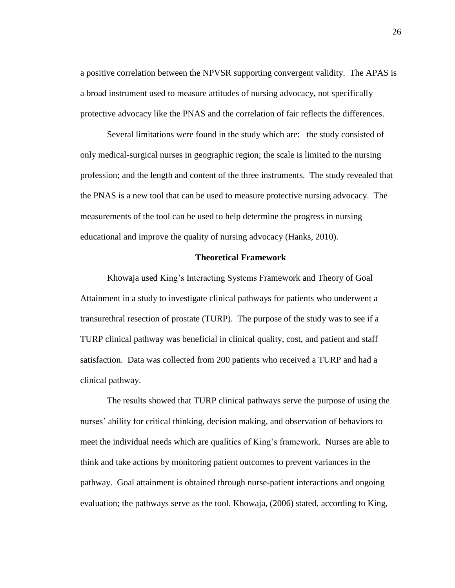a positive correlation between the NPVSR supporting convergent validity. The APAS is a broad instrument used to measure attitudes of nursing advocacy, not specifically protective advocacy like the PNAS and the correlation of fair reflects the differences.

Several limitations were found in the study which are: the study consisted of only medical-surgical nurses in geographic region; the scale is limited to the nursing profession; and the length and content of the three instruments. The study revealed that the PNAS is a new tool that can be used to measure protective nursing advocacy. The measurements of the tool can be used to help determine the progress in nursing educational and improve the quality of nursing advocacy (Hanks, 2010).

### **Theoretical Framework**

Khowaja used King's Interacting Systems Framework and Theory of Goal Attainment in a study to investigate clinical pathways for patients who underwent a transurethral resection of prostate (TURP). The purpose of the study was to see if a TURP clinical pathway was beneficial in clinical quality, cost, and patient and staff satisfaction. Data was collected from 200 patients who received a TURP and had a clinical pathway.

The results showed that TURP clinical pathways serve the purpose of using the nurses' ability for critical thinking, decision making, and observation of behaviors to meet the individual needs which are qualities of King's framework. Nurses are able to think and take actions by monitoring patient outcomes to prevent variances in the pathway. Goal attainment is obtained through nurse-patient interactions and ongoing evaluation; the pathways serve as the tool. Khowaja, (2006) stated, according to King,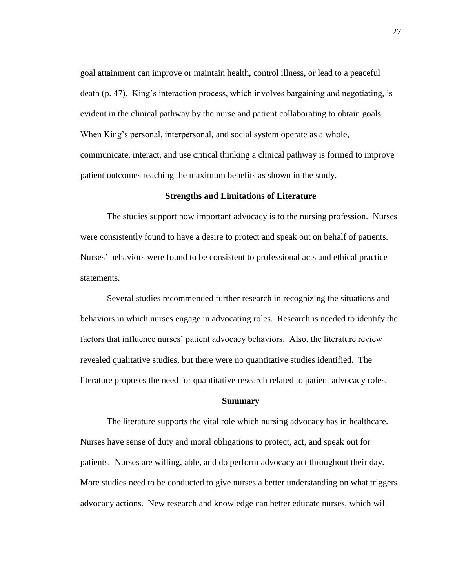goal attainment can improve or maintain health, control illness, or lead to a peaceful death (p. 47). King's interaction process, which involves bargaining and negotiating, is evident in the clinical pathway by the nurse and patient collaborating to obtain goals. When King's personal, interpersonal, and social system operate as a whole, communicate, interact, and use critical thinking a clinical pathway is formed to improve patient outcomes reaching the maximum benefits as shown in the study.

### **Strengths and Limitations of Literature**

The studies support how important advocacy is to the nursing profession. Nurses were consistently found to have a desire to protect and speak out on behalf of patients. Nurses' behaviors were found to be consistent to professional acts and ethical practice statements.

Several studies recommended further research in recognizing the situations and behaviors in which nurses engage in advocating roles. Research is needed to identify the factors that influence nurses' patient advocacy behaviors. Also, the literature review revealed qualitative studies, but there were no quantitative studies identified. The literature proposes the need for quantitative research related to patient advocacy roles.

### **Summary**

The literature supports the vital role which nursing advocacy has in healthcare. Nurses have sense of duty and moral obligations to protect, act, and speak out for patients. Nurses are willing, able, and do perform advocacy act throughout their day. More studies need to be conducted to give nurses a better understanding on what triggers advocacy actions. New research and knowledge can better educate nurses, which will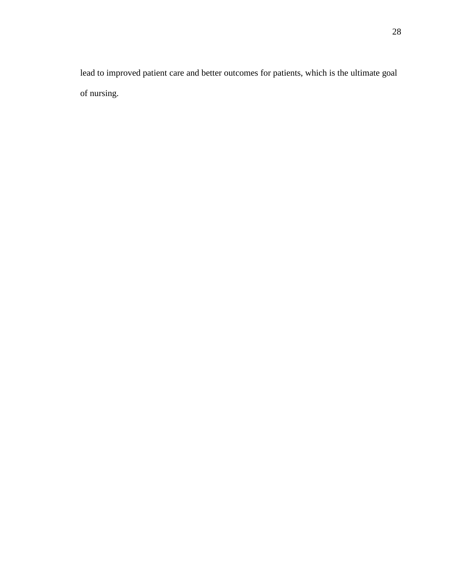lead to improved patient care and better outcomes for patients, which is the ultimate goal of nursing.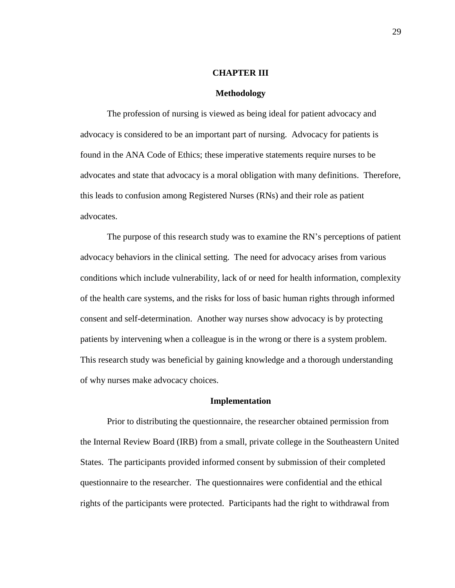### **CHAPTER III**

### **Methodology**

The profession of nursing is viewed as being ideal for patient advocacy and advocacy is considered to be an important part of nursing. Advocacy for patients is found in the ANA Code of Ethics; these imperative statements require nurses to be advocates and state that advocacy is a moral obligation with many definitions. Therefore, this leads to confusion among Registered Nurses (RNs) and their role as patient advocates.

The purpose of this research study was to examine the RN's perceptions of patient advocacy behaviors in the clinical setting. The need for advocacy arises from various conditions which include vulnerability, lack of or need for health information, complexity of the health care systems, and the risks for loss of basic human rights through informed consent and self-determination. Another way nurses show advocacy is by protecting patients by intervening when a colleague is in the wrong or there is a system problem. This research study was beneficial by gaining knowledge and a thorough understanding of why nurses make advocacy choices.

### **Implementation**

Prior to distributing the questionnaire, the researcher obtained permission from the Internal Review Board (IRB) from a small, private college in the Southeastern United States. The participants provided informed consent by submission of their completed questionnaire to the researcher. The questionnaires were confidential and the ethical rights of the participants were protected. Participants had the right to withdrawal from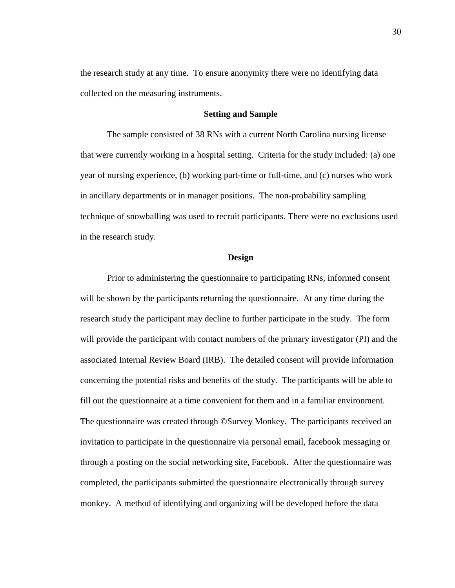the research study at any time. To ensure anonymity there were no identifying data collected on the measuring instruments.

### **Setting and Sample**

The sample consisted of 38 RNs with a current North Carolina nursing license that were currently working in a hospital setting. Criteria for the study included: (a) one year of nursing experience, (b) working part-time or full-time, and (c) nurses who work in ancillary departments or in manager positions. The non-probability sampling technique of snowballing was used to recruit participants. There were no exclusions used in the research study.

### **Design**

Prior to administering the questionnaire to participating RNs, informed consent will be shown by the participants returning the questionnaire. At any time during the research study the participant may decline to further participate in the study. The form will provide the participant with contact numbers of the primary investigator (PI) and the associated Internal Review Board (IRB). The detailed consent will provide information concerning the potential risks and benefits of the study. The participants will be able to fill out the questionnaire at a time convenient for them and in a familiar environment. The questionnaire was created through ©Survey Monkey. The participants received an invitation to participate in the questionnaire via personal email, facebook messaging or through a posting on the social networking site, Facebook. After the questionnaire was completed, the participants submitted the questionnaire electronically through survey monkey. A method of identifying and organizing will be developed before the data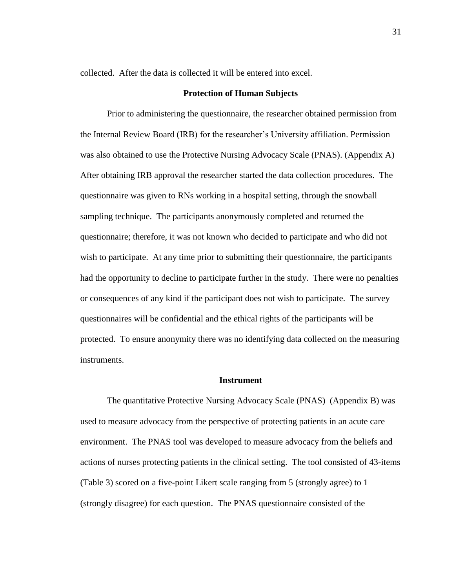collected. After the data is collected it will be entered into excel.

#### **Protection of Human Subjects**

Prior to administering the questionnaire, the researcher obtained permission from the Internal Review Board (IRB) for the researcher's University affiliation. Permission was also obtained to use the Protective Nursing Advocacy Scale (PNAS). (Appendix A) After obtaining IRB approval the researcher started the data collection procedures. The questionnaire was given to RNs working in a hospital setting, through the snowball sampling technique. The participants anonymously completed and returned the questionnaire; therefore, it was not known who decided to participate and who did not wish to participate. At any time prior to submitting their questionnaire, the participants had the opportunity to decline to participate further in the study. There were no penalties or consequences of any kind if the participant does not wish to participate. The survey questionnaires will be confidential and the ethical rights of the participants will be protected. To ensure anonymity there was no identifying data collected on the measuring instruments.

### **Instrument**

The quantitative Protective Nursing Advocacy Scale (PNAS) (Appendix B) was used to measure advocacy from the perspective of protecting patients in an acute care environment. The PNAS tool was developed to measure advocacy from the beliefs and actions of nurses protecting patients in the clinical setting. The tool consisted of 43-items (Table 3) scored on a five-point Likert scale ranging from 5 (strongly agree) to 1 (strongly disagree) for each question. The PNAS questionnaire consisted of the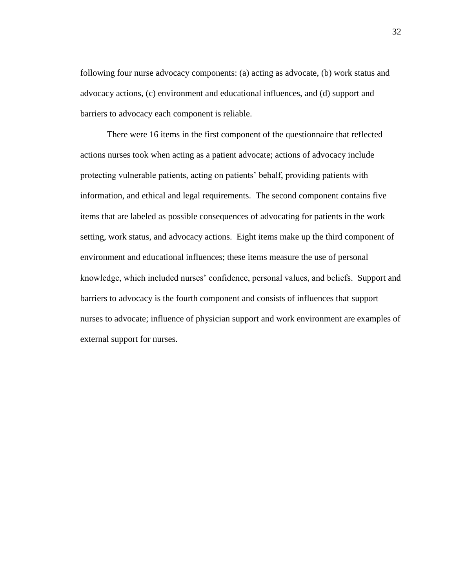following four nurse advocacy components: (a) acting as advocate, (b) work status and advocacy actions, (c) environment and educational influences, and (d) support and barriers to advocacy each component is reliable.

There were 16 items in the first component of the questionnaire that reflected actions nurses took when acting as a patient advocate; actions of advocacy include protecting vulnerable patients, acting on patients' behalf, providing patients with information, and ethical and legal requirements. The second component contains five items that are labeled as possible consequences of advocating for patients in the work setting, work status, and advocacy actions. Eight items make up the third component of environment and educational influences; these items measure the use of personal knowledge, which included nurses' confidence, personal values, and beliefs. Support and barriers to advocacy is the fourth component and consists of influences that support nurses to advocate; influence of physician support and work environment are examples of external support for nurses.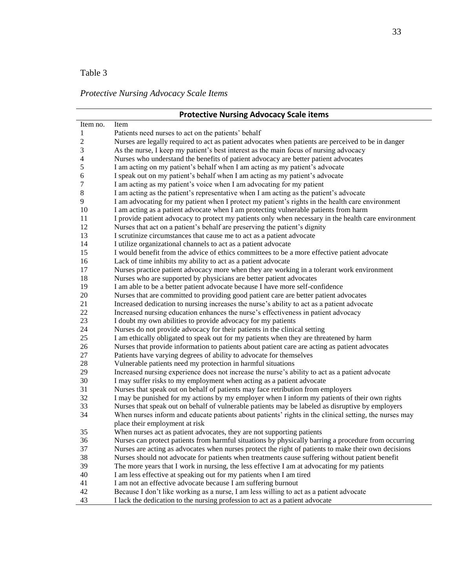### *Protective Nursing Advocacy Scale Items*

|                | <b>Protective Nursing Advocacy Scale items</b>                                                         |
|----------------|--------------------------------------------------------------------------------------------------------|
| Item no.       | Item                                                                                                   |
| 1              | Patients need nurses to act on the patients' behalf                                                    |
| $\mathbf{2}$   | Nurses are legally required to act as patient advocates when patients are perceived to be in danger    |
| 3              | As the nurse, I keep my patient's best interest as the main focus of nursing advocacy                  |
| $\overline{4}$ | Nurses who understand the benefits of patient advocacy are better patient advocates                    |
| 5              | I am acting on my patient's behalf when I am acting as my patient's advocate                           |
| 6              | I speak out on my patient's behalf when I am acting as my patient's advocate                           |
| 7              | I am acting as my patient's voice when I am advocating for my patient                                  |
| 8              | I am acting as the patient's representative when I am acting as the patient's advocate                 |
| 9              | I am advocating for my patient when I protect my patient's rights in the health care environment       |
| 10             | I am acting as a patient advocate when I am protecting vulnerable patients from harm                   |
| 11             | I provide patient advocacy to protect my patients only when necessary in the health care environment   |
| 12             | Nurses that act on a patient's behalf are preserving the patient's dignity                             |
| 13             | I scrutinize circumstances that cause me to act as a patient advocate                                  |
| 14             | I utilize organizational channels to act as a patient advocate                                         |
| 15             | I would benefit from the advice of ethics committees to be a more effective patient advocate           |
| 16             | Lack of time inhibits my ability to act as a patient advocate                                          |
| 17             | Nurses practice patient advocacy more when they are working in a tolerant work environment             |
| 18             | Nurses who are supported by physicians are better patient advocates                                    |
| 19             | I am able to be a better patient advocate because I have more self-confidence                          |
| 20             | Nurses that are committed to providing good patient care are better patient advocates                  |
| 21             | Increased dedication to nursing increases the nurse's ability to act as a patient advocate             |
| 22             | Increased nursing education enhances the nurse's effectiveness in patient advocacy                     |
| 23             | I doubt my own abilities to provide advocacy for my patients                                           |
| 24             | Nurses do not provide advocacy for their patients in the clinical setting                              |
| 25             | I am ethically obligated to speak out for my patients when they are threatened by harm                 |
| 26             | Nurses that provide information to patients about patient care are acting as patient advocates         |
| 27             | Patients have varying degrees of ability to advocate for themselves                                    |
| 28             | Vulnerable patients need my protection in harmful situations                                           |
| 29             | Increased nursing experience does not increase the nurse's ability to act as a patient advocate        |
| 30             | I may suffer risks to my employment when acting as a patient advocate                                  |
| 31             | Nurses that speak out on behalf of patients may face retribution from employers                        |
| 32             | I may be punished for my actions by my employer when I inform my patients of their own rights          |
| 33             | Nurses that speak out on behalf of vulnerable patients may be labeled as disruptive by employers       |
| 34             | When nurses inform and educate patients about patients' rights in the clinical setting, the nurses may |
|                | place their employment at risk                                                                         |
| 35             | When nurses act as patient advocates, they are not supporting patients                                 |
| 36             | Nurses can protect patients from harmful situations by physically barring a procedure from occurring   |
| 37             | Nurses are acting as advocates when nurses protect the right of patients to make their own decisions   |
| 38             | Nurses should not advocate for patients when treatments cause suffering without patient benefit        |
| 39             | The more years that I work in nursing, the less effective I am at advocating for my patients           |
| 40             | I am less effective at speaking out for my patients when I am tired                                    |
| 41             | I am not an effective advocate because I am suffering burnout                                          |
| 42             | Because I don't like working as a nurse, I am less willing to act as a patient advocate                |
| 43             | I lack the dedication to the nursing profession to act as a patient advocate                           |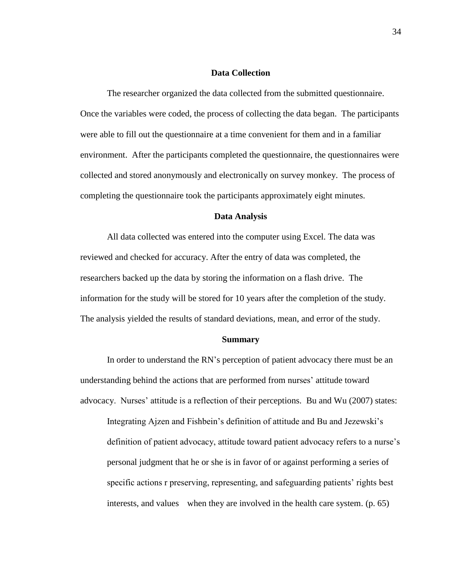### **Data Collection**

The researcher organized the data collected from the submitted questionnaire. Once the variables were coded, the process of collecting the data began. The participants were able to fill out the questionnaire at a time convenient for them and in a familiar environment. After the participants completed the questionnaire, the questionnaires were collected and stored anonymously and electronically on survey monkey. The process of completing the questionnaire took the participants approximately eight minutes.

### **Data Analysis**

All data collected was entered into the computer using Excel. The data was reviewed and checked for accuracy. After the entry of data was completed, the researchers backed up the data by storing the information on a flash drive. The information for the study will be stored for 10 years after the completion of the study. The analysis yielded the results of standard deviations, mean, and error of the study.

### **Summary**

In order to understand the RN's perception of patient advocacy there must be an understanding behind the actions that are performed from nurses' attitude toward advocacy. Nurses' attitude is a reflection of their perceptions. Bu and Wu (2007) states:

Integrating Ajzen and Fishbein's definition of attitude and Bu and Jezewski's definition of patient advocacy, attitude toward patient advocacy refers to a nurse's personal judgment that he or she is in favor of or against performing a series of specific actions r preserving, representing, and safeguarding patients' rights best interests, and values when they are involved in the health care system. (p. 65)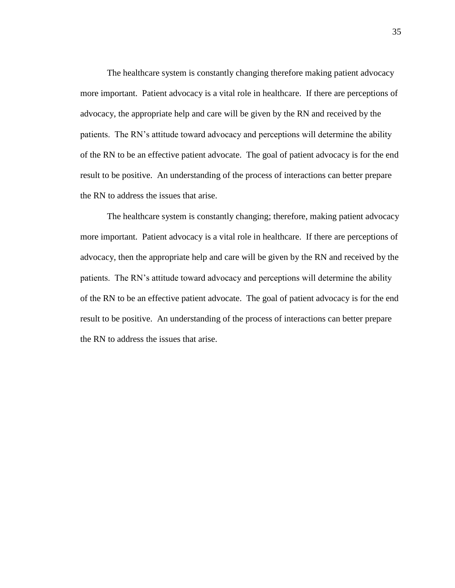The healthcare system is constantly changing therefore making patient advocacy more important. Patient advocacy is a vital role in healthcare. If there are perceptions of advocacy, the appropriate help and care will be given by the RN and received by the patients. The RN's attitude toward advocacy and perceptions will determine the ability of the RN to be an effective patient advocate. The goal of patient advocacy is for the end result to be positive. An understanding of the process of interactions can better prepare the RN to address the issues that arise.

The healthcare system is constantly changing; therefore, making patient advocacy more important. Patient advocacy is a vital role in healthcare. If there are perceptions of advocacy, then the appropriate help and care will be given by the RN and received by the patients. The RN's attitude toward advocacy and perceptions will determine the ability of the RN to be an effective patient advocate. The goal of patient advocacy is for the end result to be positive. An understanding of the process of interactions can better prepare the RN to address the issues that arise.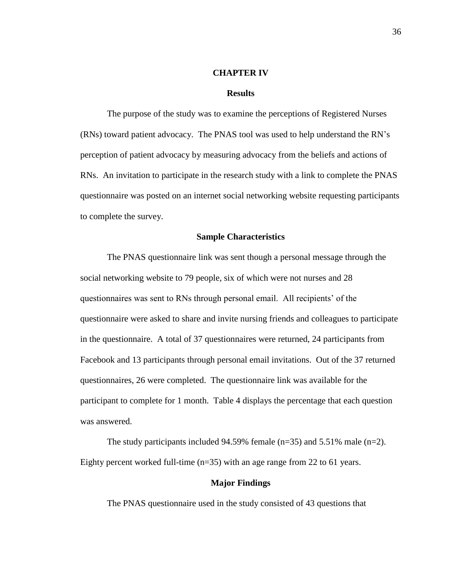#### **CHAPTER IV**

#### **Results**

The purpose of the study was to examine the perceptions of Registered Nurses (RNs) toward patient advocacy. The PNAS tool was used to help understand the RN's perception of patient advocacy by measuring advocacy from the beliefs and actions of RNs. An invitation to participate in the research study with a link to complete the PNAS questionnaire was posted on an internet social networking website requesting participants to complete the survey.

### **Sample Characteristics**

The PNAS questionnaire link was sent though a personal message through the social networking website to 79 people, six of which were not nurses and 28 questionnaires was sent to RNs through personal email. All recipients' of the questionnaire were asked to share and invite nursing friends and colleagues to participate in the questionnaire. A total of 37 questionnaires were returned, 24 participants from Facebook and 13 participants through personal email invitations. Out of the 37 returned questionnaires, 26 were completed. The questionnaire link was available for the participant to complete for 1 month. Table 4 displays the percentage that each question was answered.

The study participants included 94.59% female  $(n=35)$  and 5.51% male  $(n=2)$ . Eighty percent worked full-time  $(n=35)$  with an age range from 22 to 61 years.

### **Major Findings**

The PNAS questionnaire used in the study consisted of 43 questions that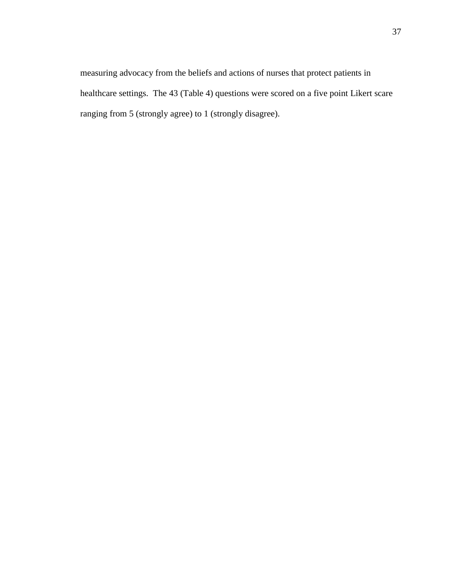measuring advocacy from the beliefs and actions of nurses that protect patients in healthcare settings. The 43 (Table 4) questions were scored on a five point Likert scare ranging from 5 (strongly agree) to 1 (strongly disagree).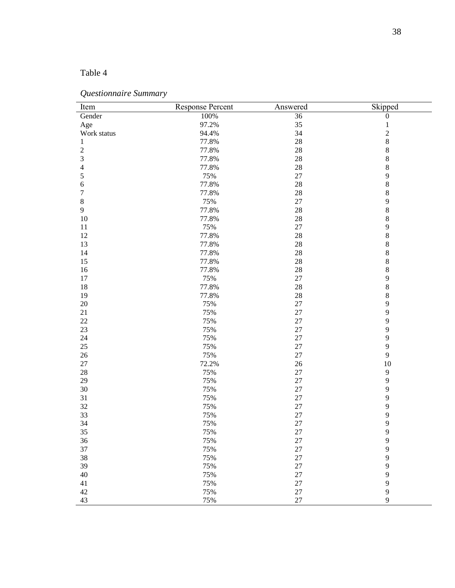### *Questionnaire Summary*

| Item                        | <b>Response Percent</b> | Answered | Skipped          |
|-----------------------------|-------------------------|----------|------------------|
| Gender                      | 100%                    | 36       | $\boldsymbol{0}$ |
| Age                         | 97.2%                   | 35       | $\,1\,$          |
| Work status                 | 94.4%                   | 34       | $\overline{c}$   |
| $\mathbf{1}$                | 77.8%                   | 28       | $\,8$            |
| $\boldsymbol{2}$            | 77.8%                   | $28\,$   | $\,8$            |
| $\ensuremath{\mathfrak{Z}}$ | 77.8%                   | $28\,$   | $\,8$            |
| 4                           | 77.8%                   | $28\,$   | $\,8\,$          |
| 5                           | 75%                     | $27\,$   | 9                |
| 6                           | 77.8%                   | $28\,$   | $\,8\,$          |
| $\overline{7}$              | 77.8%                   | $28\,$   | $\,8\,$          |
| $\,8\,$                     | 75%                     | 27       | $\mathbf{9}$     |
| $\overline{9}$              | 77.8%                   | $28\,$   | $\,8$            |
| 10                          | 77.8%                   | 28       | $\,8$            |
| $11\,$                      | 75%                     | 27       | 9                |
| 12                          | 77.8%                   | 28       | $\,8$            |
|                             |                         |          |                  |
| 13                          | 77.8%                   | $28\,$   | $\,8$            |
| 14                          | 77.8%                   | $28\,$   | $\,8$            |
| 15                          | 77.8%                   | $28\,$   | $\,8$            |
| 16                          | 77.8%                   | $28\,$   | $\,8\,$          |
| 17                          | 75%                     | $27\,$   | $\mathbf{9}$     |
| 18                          | 77.8%                   | 28       | $\,8\,$          |
| 19                          | 77.8%                   | $28\,$   | $\,8\,$          |
| 20                          | 75%                     | 27       | $\mathbf{9}$     |
| $21\,$                      | 75%                     | 27       | 9                |
| $22\,$                      | 75%                     | 27       | $\mathbf{9}$     |
| 23                          | 75%                     | 27       | $\mathbf{9}$     |
| 24                          | 75%                     | 27       | 9                |
| $25\,$                      | 75%                     | 27       | 9                |
| $26\,$                      | 75%                     | $27\,$   | $\mathbf{9}$     |
| $27\,$                      | 72.2%                   | $26\,$   | $10\,$           |
| 28                          | 75%                     | $27\,$   | $\overline{9}$   |
| 29                          | 75%                     | 27       | 9                |
| 30                          | 75%                     | 27       | $\mathbf{9}$     |
| 31                          | 75%                     | 27       | $\mathbf{9}$     |
| 32                          | 75%                     | 27       | $\mathbf{9}$     |
| 33                          | 75%                     | 27       | 9                |
| 34                          | 75%                     | 27       | 9                |
| 35                          | 75%                     | $27\,$   | $\overline{9}$   |
| 36                          | 75%                     | $27\,$   | $\mathbf{9}$     |
| 37                          | 75%                     | $27\,$   | $\mathbf{9}$     |
| 38                          | 75%                     | $27\,$   | 9                |
| 39                          | 75%                     | 27       | $\mathbf{9}$     |
| 40                          | 75%                     | 27       | 9                |
| 41                          | 75%                     | 27       | $\mathbf{9}$     |
|                             |                         |          |                  |
| $42\,$                      | 75%                     | $27\,$   | $\mathbf{9}$     |
| 43                          | 75%                     | $27\,$   | 9                |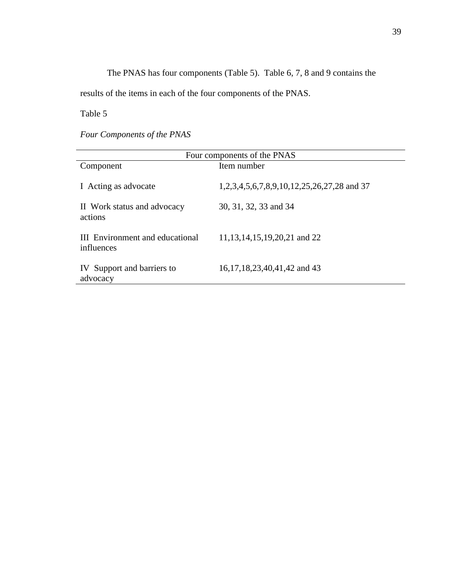The PNAS has four components (Table 5). Table 6, 7, 8 and 9 contains the

results of the items in each of the four components of the PNAS.

Table 5

*Four Components of the PNAS* 

| Four components of the PNAS                          |                                            |  |  |  |
|------------------------------------------------------|--------------------------------------------|--|--|--|
| Component                                            | Item number                                |  |  |  |
| I Acting as advocate                                 | 1,2,3,4,5,6,7,8,9,10,12,25,26,27,28 and 37 |  |  |  |
| II Work status and advocacy<br>actions               | 30, 31, 32, 33 and 34                      |  |  |  |
| <b>III</b> Environment and educational<br>influences | 11, 13, 14, 15, 19, 20, 21 and 22          |  |  |  |
| IV Support and barriers to<br>advocacy               | 16,17,18,23,40,41,42 and 43                |  |  |  |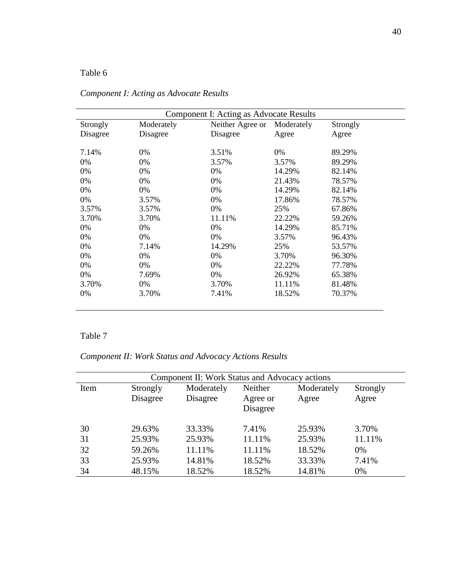| Component I: Acting as Advocate Results |            |                  |            |          |  |
|-----------------------------------------|------------|------------------|------------|----------|--|
| Strongly                                | Moderately | Neither Agree or | Moderately | Strongly |  |
| Disagree                                | Disagree   | Disagree         | Agree      | Agree    |  |
| 7.14%                                   | 0%         | 3.51%            | 0%         | 89.29%   |  |
| 0%                                      | 0%         | 3.57%            | 3.57%      | 89.29%   |  |
| 0%                                      | $0\%$      | $0\%$            | 14.29%     | 82.14%   |  |
| 0%                                      | 0%         | $0\%$            | 21.43%     | 78.57%   |  |
| 0%                                      | $0\%$      | $0\%$            | 14.29%     | 82.14%   |  |
| 0%                                      | 3.57%      | $0\%$            | 17.86%     | 78.57%   |  |
| 3.57%                                   | 3.57%      | 0%               | 25%        | 67.86%   |  |
| 3.70%                                   | 3.70%      | 11.11%           | 22.22%     | 59.26%   |  |
| 0%                                      | $0\%$      | $0\%$            | 14.29%     | 85.71%   |  |
| 0%                                      | 0%         | 0%               | 3.57%      | 96.43%   |  |
| 0%                                      | 7.14%      | 14.29%           | 25%        | 53.57%   |  |
| 0%                                      | 0%         | 0%               | 3.70%      | 96.30%   |  |
| 0%                                      | $0\%$      | $0\%$            | 22.22%     | 77.78%   |  |
| 0%                                      | 7.69%      | 0%               | 26.92%     | 65.38%   |  |
| 3.70%                                   | $0\%$      | 3.70%            | 11.11%     | 81.48%   |  |
| 0%                                      | 3.70%      | 7.41%            | 18.52%     | 70.37%   |  |

### *Component I: Acting as Advocate Results*

### Table 7

# *Component II: Work Status and Advocacy Actions Results*

| Component II: Work Status and Advocacy actions |                      |                        |                                 |                     |                   |
|------------------------------------------------|----------------------|------------------------|---------------------------------|---------------------|-------------------|
| Item                                           | Strongly<br>Disagree | Moderately<br>Disagree | Neither<br>Agree or<br>Disagree | Moderately<br>Agree | Strongly<br>Agree |
| 30                                             | 29.63%               | 33.33%                 | 7.41%                           | 25.93%              | 3.70%             |
| 31                                             | 25.93%               | 25.93%                 | 11.11%                          | 25.93%              | 11.11%            |
| 32                                             | 59.26%               | 11.11%                 | 11.11%                          | 18.52%              | $0\%$             |
| 33                                             | 25.93%               | 14.81%                 | 18.52%                          | 33.33%              | 7.41%             |
| 34                                             | 48.15%               | 18.52%                 | 18.52%                          | 14.81%              | 0%                |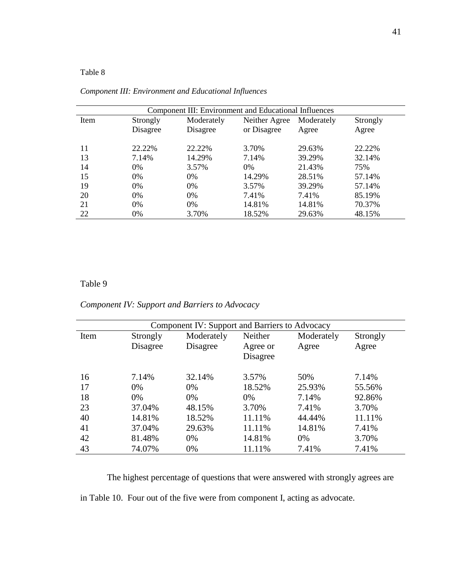| Component III: Environment and Educational Influences |          |            |               |            |          |
|-------------------------------------------------------|----------|------------|---------------|------------|----------|
| Item                                                  | Strongly | Moderately | Neither Agree | Moderately | Strongly |
|                                                       | Disagree | Disagree   | or Disagree   | Agree      | Agree    |
|                                                       |          |            |               |            |          |
| 11                                                    | 22.22%   | 22.22%     | 3.70%         | 29.63%     | 22.22%   |
| 13                                                    | 7.14%    | 14.29%     | 7.14%         | 39.29%     | 32.14%   |
| 14                                                    | $0\%$    | 3.57%      | $0\%$         | 21.43%     | 75%      |
| 15                                                    | $0\%$    | $0\%$      | 14.29%        | 28.51%     | 57.14%   |
| 19                                                    | $0\%$    | $0\%$      | 3.57%         | 39.29%     | 57.14%   |
| 20                                                    | $0\%$    | 0%         | 7.41%         | 7.41%      | 85.19%   |
| 21                                                    | $0\%$    | $0\%$      | 14.81%        | 14.81%     | 70.37%   |
| 22                                                    | 0%       | 3.70%      | 18.52%        | 29.63%     | 48.15%   |

### *Component III: Environment and Educational Influences*

### Table 9

# *Component IV: Support and Barriers to Advocacy*

|      | Component IV: Support and Barriers to Advocacy |            |          |            |          |  |  |  |
|------|------------------------------------------------|------------|----------|------------|----------|--|--|--|
| Item | Strongly                                       | Moderately | Neither  | Moderately | Strongly |  |  |  |
|      | Disagree                                       | Disagree   | Agree or | Agree      | Agree    |  |  |  |
|      |                                                |            | Disagree |            |          |  |  |  |
| 16   | 7.14%                                          | 32.14%     | 3.57%    | 50%        | 7.14%    |  |  |  |
| 17   | $0\%$                                          | $0\%$      | 18.52%   | 25.93%     | 55.56%   |  |  |  |
| 18   | 0%                                             | $0\%$      | 0%       | 7.14%      | 92.86%   |  |  |  |
| 23   | 37.04%                                         | 48.15%     | 3.70%    | 7.41%      | 3.70%    |  |  |  |
| 40   | 14.81%                                         | 18.52%     | 11.11%   | 44.44%     | 11.11%   |  |  |  |
| 41   | 37.04%                                         | 29.63%     | 11.11%   | 14.81%     | 7.41%    |  |  |  |
| 42   | 81.48%                                         | $0\%$      | 14.81%   | 0%         | 3.70%    |  |  |  |
| 43   | 74.07%                                         | 0%         | 11.11%   | 7.41%      | 7.41%    |  |  |  |

The highest percentage of questions that were answered with strongly agrees are

in Table 10. Four out of the five were from component I, acting as advocate.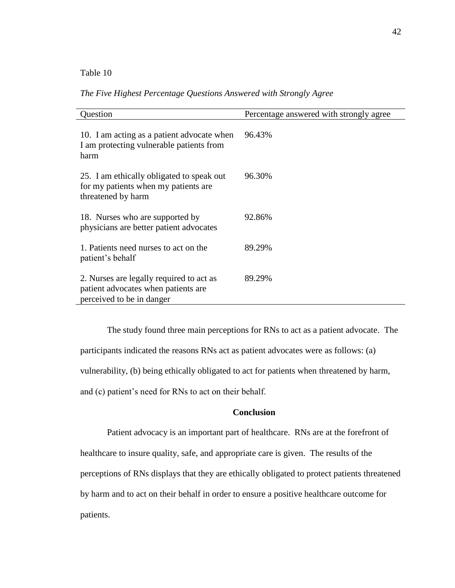*The Five Highest Percentage Questions Answered with Strongly Agree*

| Question                                                                                                     | Percentage answered with strongly agree |
|--------------------------------------------------------------------------------------------------------------|-----------------------------------------|
| 10. I am acting as a patient advocate when<br>I am protecting vulnerable patients from<br>harm               | 96.43%                                  |
| 25. I am ethically obligated to speak out<br>for my patients when my patients are<br>threatened by harm      | 96.30%                                  |
| 18. Nurses who are supported by<br>physicians are better patient advocates                                   | 92.86%                                  |
| 1. Patients need nurses to act on the<br>patient's behalf                                                    | 89.29%                                  |
| 2. Nurses are legally required to act as<br>patient advocates when patients are<br>perceived to be in danger | 89.29%                                  |

The study found three main perceptions for RNs to act as a patient advocate. The participants indicated the reasons RNs act as patient advocates were as follows: (a) vulnerability, (b) being ethically obligated to act for patients when threatened by harm, and (c) patient's need for RNs to act on their behalf.

### **Conclusion**

Patient advocacy is an important part of healthcare. RNs are at the forefront of healthcare to insure quality, safe, and appropriate care is given. The results of the perceptions of RNs displays that they are ethically obligated to protect patients threatened by harm and to act on their behalf in order to ensure a positive healthcare outcome for patients.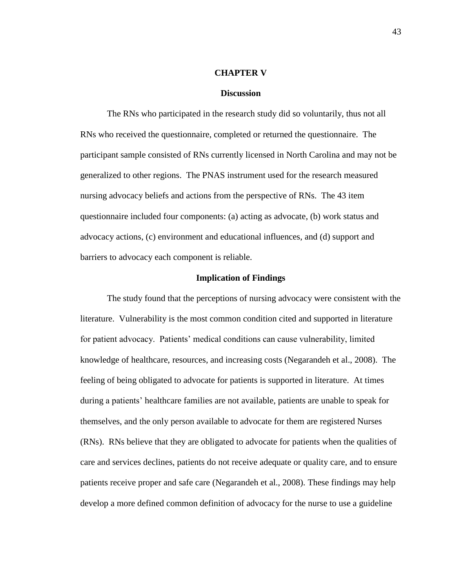#### **CHAPTER V**

#### **Discussion**

The RNs who participated in the research study did so voluntarily, thus not all RNs who received the questionnaire, completed or returned the questionnaire. The participant sample consisted of RNs currently licensed in North Carolina and may not be generalized to other regions. The PNAS instrument used for the research measured nursing advocacy beliefs and actions from the perspective of RNs. The 43 item questionnaire included four components: (a) acting as advocate, (b) work status and advocacy actions, (c) environment and educational influences, and (d) support and barriers to advocacy each component is reliable.

### **Implication of Findings**

The study found that the perceptions of nursing advocacy were consistent with the literature. Vulnerability is the most common condition cited and supported in literature for patient advocacy. Patients' medical conditions can cause vulnerability, limited knowledge of healthcare, resources, and increasing costs (Negarandeh et al., 2008). The feeling of being obligated to advocate for patients is supported in literature. At times during a patients' healthcare families are not available, patients are unable to speak for themselves, and the only person available to advocate for them are registered Nurses (RNs). RNs believe that they are obligated to advocate for patients when the qualities of care and services declines, patients do not receive adequate or quality care, and to ensure patients receive proper and safe care (Negarandeh et al., 2008). These findings may help develop a more defined common definition of advocacy for the nurse to use a guideline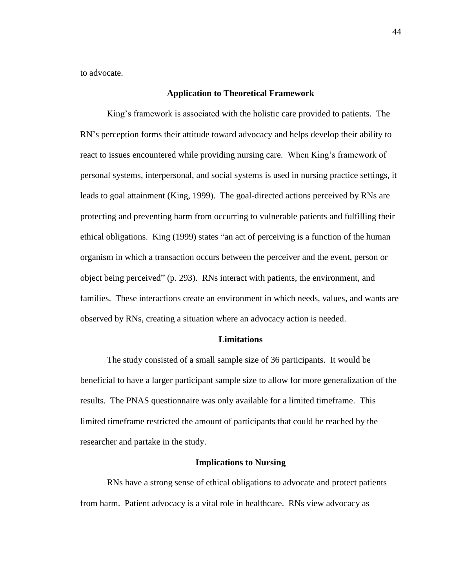to advocate.

### **Application to Theoretical Framework**

King's framework is associated with the holistic care provided to patients. The RN's perception forms their attitude toward advocacy and helps develop their ability to react to issues encountered while providing nursing care. When King's framework of personal systems, interpersonal, and social systems is used in nursing practice settings, it leads to goal attainment (King, 1999). The goal-directed actions perceived by RNs are protecting and preventing harm from occurring to vulnerable patients and fulfilling their ethical obligations. King (1999) states "an act of perceiving is a function of the human organism in which a transaction occurs between the perceiver and the event, person or object being perceived" (p. 293). RNs interact with patients, the environment, and families. These interactions create an environment in which needs, values, and wants are observed by RNs, creating a situation where an advocacy action is needed.

#### **Limitations**

The study consisted of a small sample size of 36 participants. It would be beneficial to have a larger participant sample size to allow for more generalization of the results. The PNAS questionnaire was only available for a limited timeframe. This limited timeframe restricted the amount of participants that could be reached by the researcher and partake in the study.

### **Implications to Nursing**

RNs have a strong sense of ethical obligations to advocate and protect patients from harm. Patient advocacy is a vital role in healthcare. RNs view advocacy as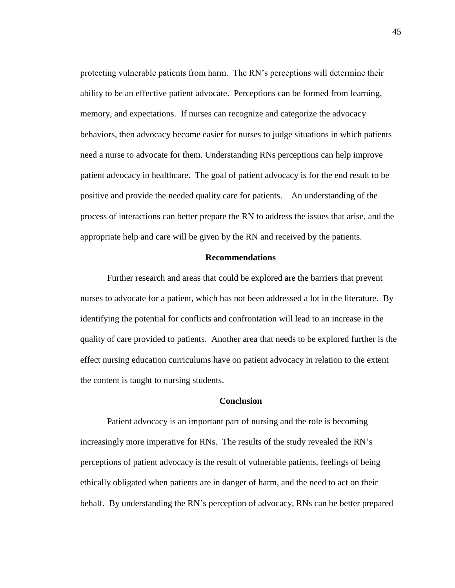protecting vulnerable patients from harm. The RN's perceptions will determine their ability to be an effective patient advocate. Perceptions can be formed from learning, memory, and expectations. If nurses can recognize and categorize the advocacy behaviors, then advocacy become easier for nurses to judge situations in which patients need a nurse to advocate for them. Understanding RNs perceptions can help improve patient advocacy in healthcare. The goal of patient advocacy is for the end result to be positive and provide the needed quality care for patients. An understanding of the process of interactions can better prepare the RN to address the issues that arise, and the appropriate help and care will be given by the RN and received by the patients.

### **Recommendations**

Further research and areas that could be explored are the barriers that prevent nurses to advocate for a patient, which has not been addressed a lot in the literature. By identifying the potential for conflicts and confrontation will lead to an increase in the quality of care provided to patients. Another area that needs to be explored further is the effect nursing education curriculums have on patient advocacy in relation to the extent the content is taught to nursing students.

### **Conclusion**

Patient advocacy is an important part of nursing and the role is becoming increasingly more imperative for RNs. The results of the study revealed the RN's perceptions of patient advocacy is the result of vulnerable patients, feelings of being ethically obligated when patients are in danger of harm, and the need to act on their behalf. By understanding the RN's perception of advocacy, RNs can be better prepared

45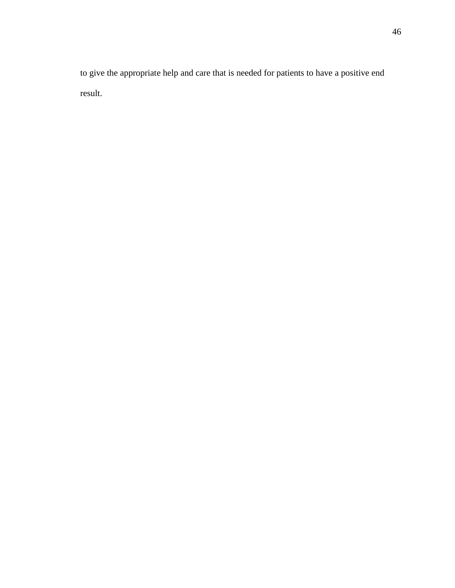to give the appropriate help and care that is needed for patients to have a positive end result.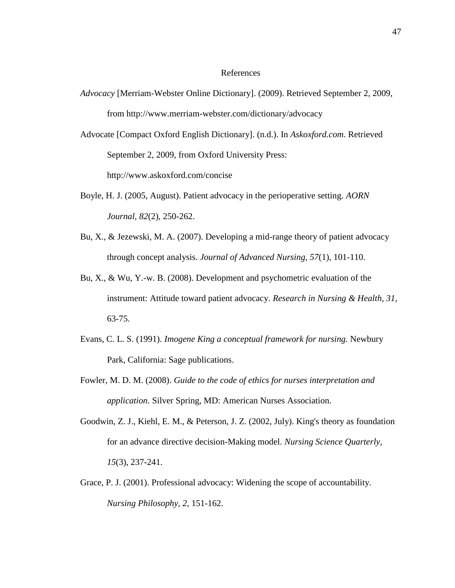### References

- *Advocacy* [Merriam-Webster Online Dictionary]. (2009). Retrieved September 2, 2009, from http://www.merriam-webster.com/dictionary/advocacy
- Advocate [Compact Oxford English Dictionary]. (n.d.). In *Askoxford.com*. Retrieved September 2, 2009, from Oxford University Press:

http://www.askoxford.com/concise

- Boyle, H. J. (2005, August). Patient advocacy in the perioperative setting. *AORN Journal, 82*(2), 250-262.
- Bu, X., & Jezewski, M. A. (2007). Developing a mid-range theory of patient advocacy through concept analysis. *Journal of Advanced Nursing, 57*(1), 101-110.
- Bu, X., & Wu, Y.-w. B. (2008). Development and psychometric evaluation of the instrument: Attitude toward patient advocacy. *Research in Nursing & Health, 31,* 63-75.
- Evans, C. L. S. (1991). *Imogene King a conceptual framework for nursing.* Newbury Park, California: Sage publications.
- Fowler, M. D. M. (2008). *Guide to the code of ethics for nurses interpretation and application.* Silver Spring, MD: American Nurses Association.
- Goodwin, Z. J., Kiehl, E. M., & Peterson, J. Z. (2002, July). King's theory as foundation for an advance directive decision-Making model. *Nursing Science Quarterly, 15*(3), 237-241.
- Grace, P. J. (2001). Professional advocacy: Widening the scope of accountability. *Nursing Philosophy, 2,* 151-162.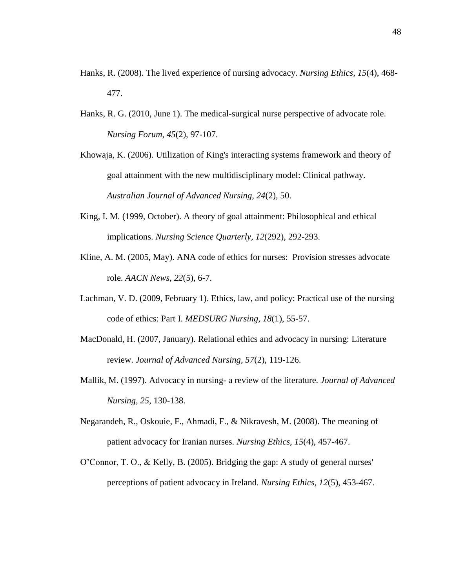- Hanks, R. (2008). The lived experience of nursing advocacy. *Nursing Ethics, 15*(4), 468- 477.
- Hanks, R. G. (2010, June 1). The medical-surgical nurse perspective of advocate role. *Nursing Forum, 45*(2), 97-107.
- Khowaja, K. (2006). Utilization of King's interacting systems framework and theory of goal attainment with the new multidisciplinary model: Clinical pathway. *Australian Journal of Advanced Nursing, 24*(2), 50.
- King, I. M. (1999, October). A theory of goal attainment: Philosophical and ethical implications. *Nursing Science Quarterly, 12*(292), 292-293.
- Kline, A. M. (2005, May). ANA code of ethics for nurses: Provision stresses advocate role. *AACN News, 22*(5), 6-7.
- Lachman, V. D. (2009, February 1). Ethics, law, and policy: Practical use of the nursing code of ethics: Part I. *MEDSURG Nursing, 18*(1), 55-57.
- MacDonald, H. (2007, January). Relational ethics and advocacy in nursing: Literature review. *Journal of Advanced Nursing, 57*(2), 119-126.
- Mallik, M. (1997). Advocacy in nursing- a review of the literature. *Journal of Advanced Nursing, 25,* 130-138.
- Negarandeh, R., Oskouie, F., Ahmadi, F., & Nikravesh, M. (2008). The meaning of patient advocacy for Iranian nurses. *Nursing Ethics, 15*(4), 457-467.
- O'Connor, T. O., & Kelly, B. (2005). Bridging the gap: A study of general nurses' perceptions of patient advocacy in Ireland. *Nursing Ethics, 12*(5), 453-467.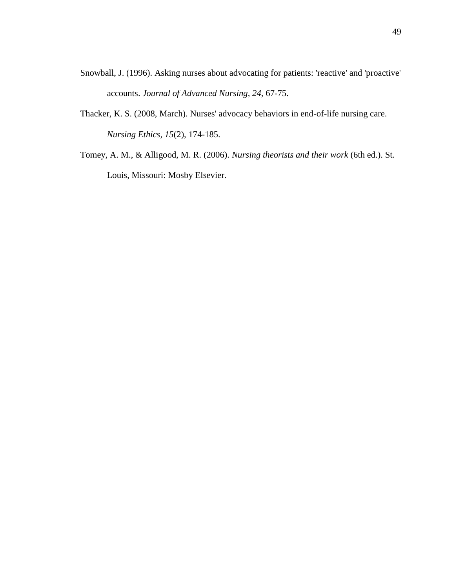- Snowball, J. (1996). Asking nurses about advocating for patients: 'reactive' and 'proactive' accounts. *Journal of Advanced Nursing, 24,* 67-75.
- Thacker, K. S. (2008, March). Nurses' advocacy behaviors in end-of-life nursing care. *Nursing Ethics, 15*(2), 174-185.
- Tomey, A. M., & Alligood, M. R. (2006). *Nursing theorists and their work* (6th ed.). St. Louis, Missouri: Mosby Elsevier.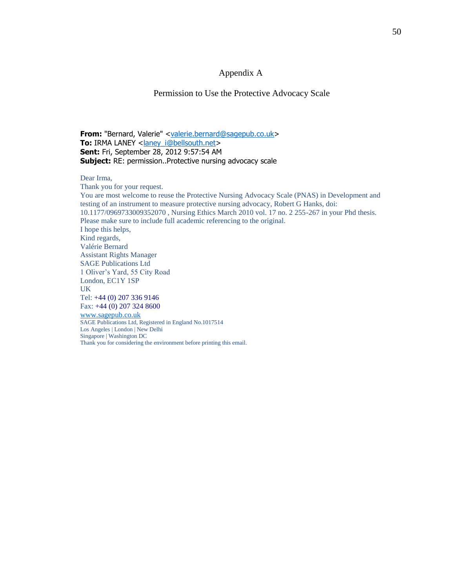### Appendix A

### Permission to Use the Protective Advocacy Scale

**From:** "Bernard, Valerie" [<valerie.bernard@sagepub.co.uk>](mailto:valerie.bernard@sagepub.co.uk) **To:** IRMA LANEY <**laney\_i@bellsouth.net> Sent:** Fri, September 28, 2012 9:57:54 AM **Subject:** RE: permission..Protective nursing advocacy scale

Dear Irma,

Thank you for your request. You are most welcome to reuse the Protective Nursing Advocacy Scale (PNAS) in Development and testing of an instrument to measure protective nursing advocacy, Robert G Hanks, doi: 10.1177/0969733009352070 , Nursing Ethics March 2010 vol. 17 no. 2 255-267 in your Phd thesis. Please make sure to include full academic referencing to the original. I hope this helps, Kind regards, Valérie Bernard Assistant Rights Manager SAGE Publications Ltd 1 Oliver's Yard, 55 City Road London, EC1Y 1SP UK Tel: +44 (0) 207 336 9146 Fax: +44 (0) 207 324 8600 [www.sagepub.co.uk](http://www.sagepub.co.uk/) SAGE Publications Ltd, Registered in England No.1017514

Los Angeles | London | New Delhi Singapore | Washington DC Thank you for considering the environment before printing this email.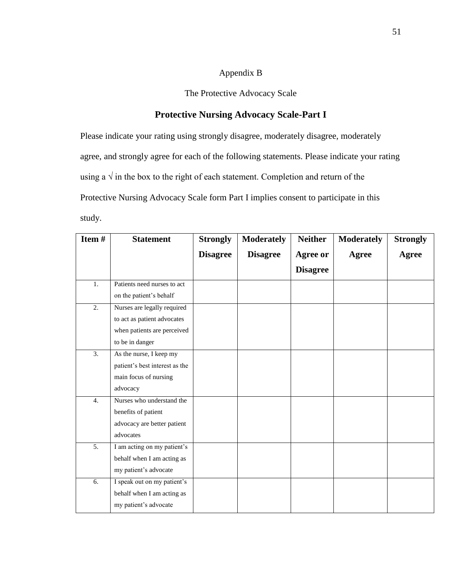### Appendix B

The Protective Advocacy Scale

### **Protective Nursing Advocacy Scale-Part I**

Please indicate your rating using strongly disagree, moderately disagree, moderately agree, and strongly agree for each of the following statements. Please indicate your rating using a  $\sqrt{ }$  in the box to the right of each statement. Completion and return of the Protective Nursing Advocacy Scale form Part I implies consent to participate in this study.

| Item#            | <b>Statement</b>               | <b>Strongly</b> | <b>Moderately</b> | <b>Neither</b>  | <b>Moderately</b> | <b>Strongly</b> |
|------------------|--------------------------------|-----------------|-------------------|-----------------|-------------------|-----------------|
|                  |                                | <b>Disagree</b> | <b>Disagree</b>   | <b>Agree or</b> | Agree             | <b>Agree</b>    |
|                  |                                |                 |                   | <b>Disagree</b> |                   |                 |
| 1.               | Patients need nurses to act    |                 |                   |                 |                   |                 |
|                  | on the patient's behalf        |                 |                   |                 |                   |                 |
| $\overline{2}$ . | Nurses are legally required    |                 |                   |                 |                   |                 |
|                  | to act as patient advocates    |                 |                   |                 |                   |                 |
|                  | when patients are perceived    |                 |                   |                 |                   |                 |
|                  | to be in danger                |                 |                   |                 |                   |                 |
| 3.               | As the nurse, I keep my        |                 |                   |                 |                   |                 |
|                  | patient's best interest as the |                 |                   |                 |                   |                 |
|                  | main focus of nursing          |                 |                   |                 |                   |                 |
|                  | advocacy                       |                 |                   |                 |                   |                 |
| 4.               | Nurses who understand the      |                 |                   |                 |                   |                 |
|                  | benefits of patient            |                 |                   |                 |                   |                 |
|                  | advocacy are better patient    |                 |                   |                 |                   |                 |
|                  | advocates                      |                 |                   |                 |                   |                 |
| 5.               | I am acting on my patient's    |                 |                   |                 |                   |                 |
|                  | behalf when I am acting as     |                 |                   |                 |                   |                 |
|                  | my patient's advocate          |                 |                   |                 |                   |                 |
| 6.               | I speak out on my patient's    |                 |                   |                 |                   |                 |
|                  | behalf when I am acting as     |                 |                   |                 |                   |                 |
|                  | my patient's advocate          |                 |                   |                 |                   |                 |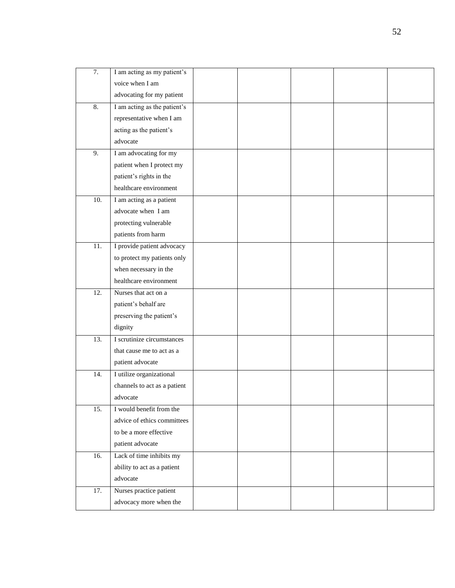| 7.                | I am acting as my patient's  |  |  |  |
|-------------------|------------------------------|--|--|--|
|                   | voice when I am              |  |  |  |
|                   | advocating for my patient    |  |  |  |
| 8.                | I am acting as the patient's |  |  |  |
|                   | representative when I am     |  |  |  |
|                   | acting as the patient's      |  |  |  |
|                   | advocate                     |  |  |  |
| 9.                | I am advocating for my       |  |  |  |
|                   | patient when I protect my    |  |  |  |
|                   | patient's rights in the      |  |  |  |
|                   | healthcare environment       |  |  |  |
| 10.               | I am acting as a patient     |  |  |  |
|                   | advocate when I am           |  |  |  |
|                   | protecting vulnerable        |  |  |  |
|                   | patients from harm           |  |  |  |
| 11.               | I provide patient advocacy   |  |  |  |
|                   | to protect my patients only  |  |  |  |
|                   | when necessary in the        |  |  |  |
|                   | healthcare environment       |  |  |  |
| 12.               | Nurses that act on a         |  |  |  |
|                   | patient's behalf are         |  |  |  |
|                   | preserving the patient's     |  |  |  |
|                   | dignity                      |  |  |  |
| $\overline{13}$ . | I scrutinize circumstances   |  |  |  |
|                   | that cause me to act as a    |  |  |  |
|                   | patient advocate             |  |  |  |
| 14.               | I utilize organizational     |  |  |  |
|                   | channels to act as a patient |  |  |  |
|                   | advocate                     |  |  |  |
| 15.               | I would benefit from the     |  |  |  |
|                   | advice of ethics committees  |  |  |  |
|                   | to be a more effective       |  |  |  |
|                   | patient advocate             |  |  |  |
| 16.               | Lack of time inhibits my     |  |  |  |
|                   | ability to act as a patient  |  |  |  |
|                   | advocate                     |  |  |  |
| 17.               | Nurses practice patient      |  |  |  |
|                   | advocacy more when the       |  |  |  |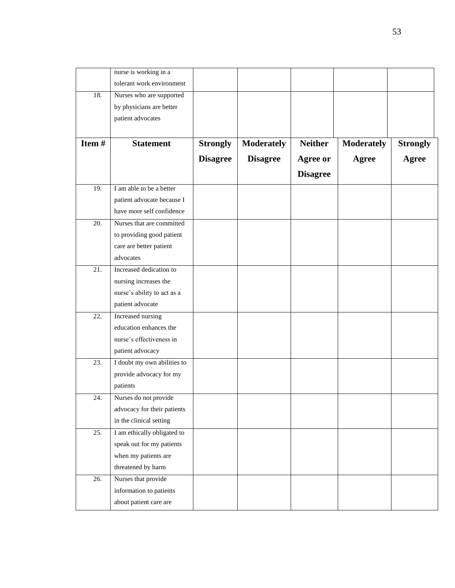|       | nurse is working in a       |                 |                   |                 |                   |                 |
|-------|-----------------------------|-----------------|-------------------|-----------------|-------------------|-----------------|
|       | tolerant work environment   |                 |                   |                 |                   |                 |
| 18.   | Nurses who are supported    |                 |                   |                 |                   |                 |
|       | by physicians are better    |                 |                   |                 |                   |                 |
|       | patient advocates           |                 |                   |                 |                   |                 |
|       |                             |                 |                   |                 |                   |                 |
| Item# | <b>Statement</b>            | <b>Strongly</b> | <b>Moderately</b> | <b>Neither</b>  | <b>Moderately</b> | <b>Strongly</b> |
|       |                             | <b>Disagree</b> | <b>Disagree</b>   | Agree or        | <b>Agree</b>      | <b>Agree</b>    |
|       |                             |                 |                   | <b>Disagree</b> |                   |                 |
| 19.   | I am able to be a better    |                 |                   |                 |                   |                 |
|       | patient advocate because I  |                 |                   |                 |                   |                 |
|       | have more self confidence   |                 |                   |                 |                   |                 |
| 20.   | Nurses that are committed   |                 |                   |                 |                   |                 |
|       | to providing good patient   |                 |                   |                 |                   |                 |
|       | care are better patient     |                 |                   |                 |                   |                 |
|       | advocates                   |                 |                   |                 |                   |                 |
| 21.   | Increased dedication to     |                 |                   |                 |                   |                 |
|       | nursing increases the       |                 |                   |                 |                   |                 |
|       | nurse's ability to act as a |                 |                   |                 |                   |                 |
|       | patient advocate            |                 |                   |                 |                   |                 |
| 22.   | Increased nursing           |                 |                   |                 |                   |                 |
|       | education enhances the      |                 |                   |                 |                   |                 |
|       | nurse's effectiveness in    |                 |                   |                 |                   |                 |
|       | patient advocacy            |                 |                   |                 |                   |                 |
| 23.   | I doubt my own abilities to |                 |                   |                 |                   |                 |
|       | provide advocacy for my     |                 |                   |                 |                   |                 |
|       | patients                    |                 |                   |                 |                   |                 |
| 24.   | Nurses do not provide       |                 |                   |                 |                   |                 |
|       | advocacy for their patients |                 |                   |                 |                   |                 |
|       | in the clinical setting     |                 |                   |                 |                   |                 |
| 25.   | I am ethically obligated to |                 |                   |                 |                   |                 |
|       | speak out for my patients   |                 |                   |                 |                   |                 |
|       | when my patients are        |                 |                   |                 |                   |                 |
|       | threatened by harm          |                 |                   |                 |                   |                 |
| 26.   | Nurses that provide         |                 |                   |                 |                   |                 |
|       | information to patients     |                 |                   |                 |                   |                 |
|       | about patient care are      |                 |                   |                 |                   |                 |
|       |                             |                 |                   |                 |                   |                 |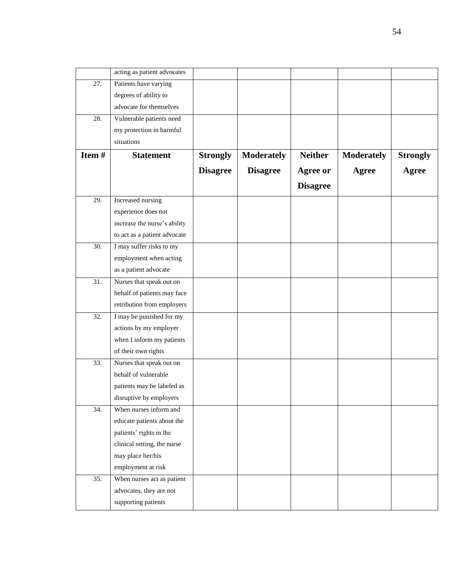|                   | acting as patient advocates  |                 |                   |                 |                   |                 |
|-------------------|------------------------------|-----------------|-------------------|-----------------|-------------------|-----------------|
| 27.               | Patients have varying        |                 |                   |                 |                   |                 |
|                   | degrees of ability to        |                 |                   |                 |                   |                 |
|                   | advocate for themselves      |                 |                   |                 |                   |                 |
| 28.               | Vulnerable patients need     |                 |                   |                 |                   |                 |
|                   | my protection in harmful     |                 |                   |                 |                   |                 |
|                   | situations                   |                 |                   |                 |                   |                 |
| Item#             | <b>Statement</b>             | <b>Strongly</b> | <b>Moderately</b> | <b>Neither</b>  | <b>Moderately</b> | <b>Strongly</b> |
|                   |                              | <b>Disagree</b> | <b>Disagree</b>   | <b>Agree or</b> | <b>Agree</b>      | <b>Agree</b>    |
|                   |                              |                 |                   | <b>Disagree</b> |                   |                 |
| 29.               | Increased nursing            |                 |                   |                 |                   |                 |
|                   | experience does not          |                 |                   |                 |                   |                 |
|                   | increase the nurse's ability |                 |                   |                 |                   |                 |
|                   | to act as a patient advocate |                 |                   |                 |                   |                 |
| 30.               | I may suffer risks to my     |                 |                   |                 |                   |                 |
|                   | employment when acting       |                 |                   |                 |                   |                 |
|                   | as a patient advocate        |                 |                   |                 |                   |                 |
| 31.               | Nurses that speak out on     |                 |                   |                 |                   |                 |
|                   | behalf of patients may face  |                 |                   |                 |                   |                 |
|                   | retribution from employers   |                 |                   |                 |                   |                 |
| $\overline{32}$ . | I may be punished for my     |                 |                   |                 |                   |                 |
|                   | actions by my employer       |                 |                   |                 |                   |                 |
|                   | when I inform my patients    |                 |                   |                 |                   |                 |
|                   | of their own rights          |                 |                   |                 |                   |                 |
| 33.               | Nurses that speak out on     |                 |                   |                 |                   |                 |
|                   | behalf of vulnerable         |                 |                   |                 |                   |                 |
|                   | patients may be labeled as   |                 |                   |                 |                   |                 |
|                   | disruptive by employers      |                 |                   |                 |                   |                 |
| 34.               | When nurses inform and       |                 |                   |                 |                   |                 |
|                   | educate patients about the   |                 |                   |                 |                   |                 |
|                   | patients' rights in the      |                 |                   |                 |                   |                 |
|                   | clinical setting, the nurse  |                 |                   |                 |                   |                 |
|                   | may place her/his            |                 |                   |                 |                   |                 |
|                   | employment at risk           |                 |                   |                 |                   |                 |
| 35.               | When nurses act as patient   |                 |                   |                 |                   |                 |
|                   | advocates, they are not      |                 |                   |                 |                   |                 |
|                   | supporting patients          |                 |                   |                 |                   |                 |